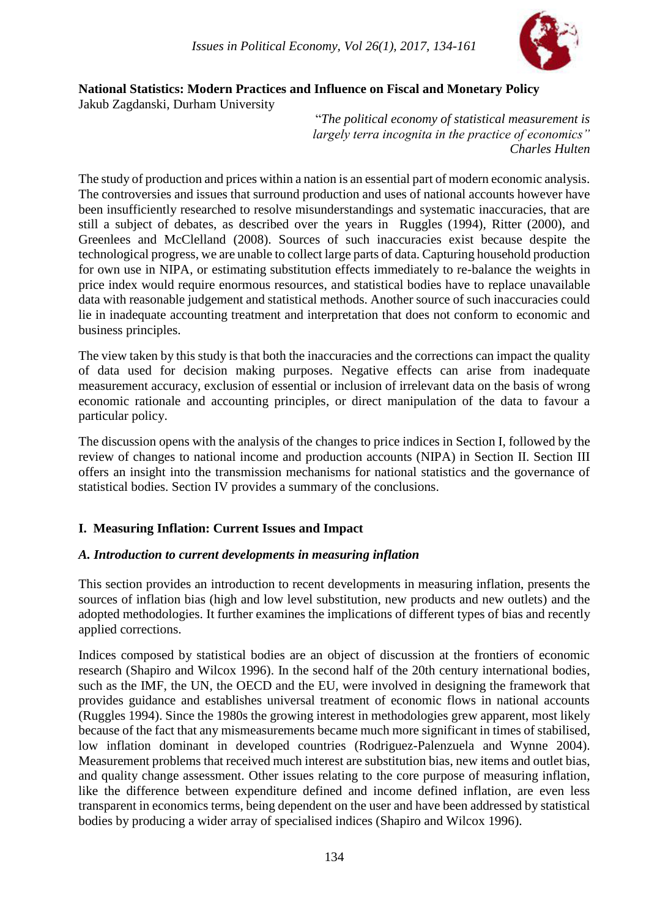

#### **National Statistics: Modern Practices and Influence on Fiscal and Monetary Policy** Jakub Zagdanski, Durham University

"*The political economy of statistical measurement is largely terra incognita in the practice of economics" Charles Hulten*

The study of production and prices within a nation is an essential part of modern economic analysis. The controversies and issues that surround production and uses of national accounts however have been insufficiently researched to resolve misunderstandings and systematic inaccuracies, that are still a subject of debates, as described over the years in Ruggles (1994), Ritter (2000), and Greenlees and McClelland (2008). Sources of such inaccuracies exist because despite the technological progress, we are unable to collect large parts of data. Capturing household production for own use in NIPA, or estimating substitution effects immediately to re-balance the weights in price index would require enormous resources, and statistical bodies have to replace unavailable data with reasonable judgement and statistical methods. Another source of such inaccuracies could lie in inadequate accounting treatment and interpretation that does not conform to economic and business principles.

The view taken by this study is that both the inaccuracies and the corrections can impact the quality of data used for decision making purposes. Negative effects can arise from inadequate measurement accuracy, exclusion of essential or inclusion of irrelevant data on the basis of wrong economic rationale and accounting principles, or direct manipulation of the data to favour a particular policy.

The discussion opens with the analysis of the changes to price indices in Section I, followed by the review of changes to national income and production accounts (NIPA) in Section II. Section III offers an insight into the transmission mechanisms for national statistics and the governance of statistical bodies. Section IV provides a summary of the conclusions.

# **I. Measuring Inflation: Current Issues and Impact**

#### *A. Introduction to current developments in measuring inflation*

This section provides an introduction to recent developments in measuring inflation, presents the sources of inflation bias (high and low level substitution, new products and new outlets) and the adopted methodologies. It further examines the implications of different types of bias and recently applied corrections.

Indices composed by statistical bodies are an object of discussion at the frontiers of economic research (Shapiro and Wilcox 1996). In the second half of the 20th century international bodies, such as the IMF, the UN, the OECD and the EU, were involved in designing the framework that provides guidance and establishes universal treatment of economic flows in national accounts (Ruggles 1994). Since the 1980s the growing interest in methodologies grew apparent, most likely because of the fact that any mismeasurements became much more significant in times of stabilised, low inflation dominant in developed countries (Rodriguez-Palenzuela and Wynne 2004). Measurement problems that received much interest are substitution bias, new items and outlet bias, and quality change assessment. Other issues relating to the core purpose of measuring inflation, like the difference between expenditure defined and income defined inflation, are even less transparent in economics terms, being dependent on the user and have been addressed by statistical bodies by producing a wider array of specialised indices (Shapiro and Wilcox 1996).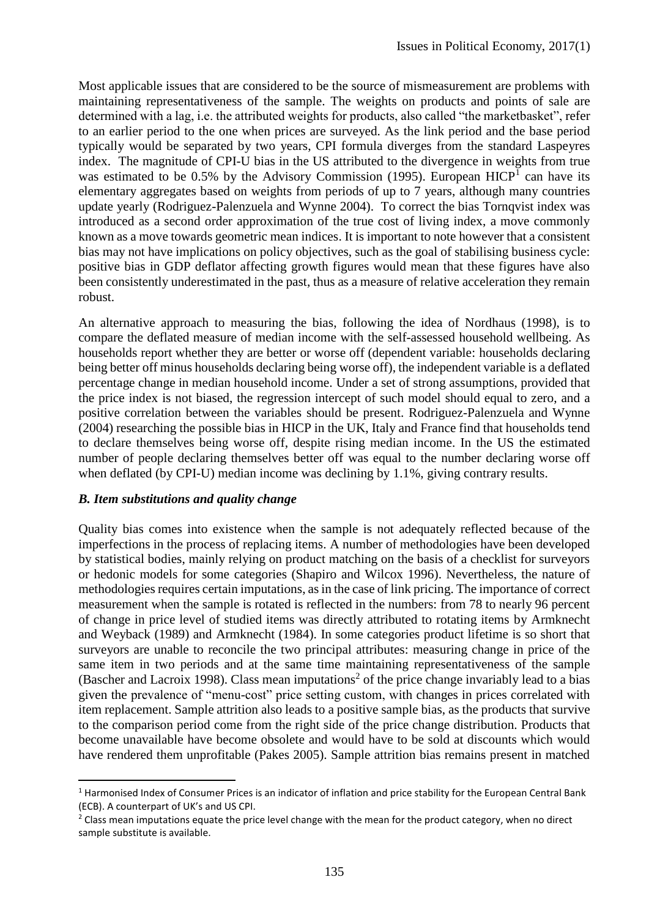Most applicable issues that are considered to be the source of mismeasurement are problems with maintaining representativeness of the sample. The weights on products and points of sale are determined with a lag, i.e. the attributed weights for products, also called "the marketbasket", refer to an earlier period to the one when prices are surveyed. As the link period and the base period typically would be separated by two years, CPI formula diverges from the standard Laspeyres index. The magnitude of CPI-U bias in the US attributed to the divergence in weights from true was estimated to be 0.5% by the Advisory Commission (1995). European  $HICP<sup>1</sup>$  can have its elementary aggregates based on weights from periods of up to 7 years, although many countries update yearly (Rodriguez-Palenzuela and Wynne 2004). To correct the bias Tornqvist index was introduced as a second order approximation of the true cost of living index, a move commonly known as a move towards geometric mean indices. It is important to note however that a consistent bias may not have implications on policy objectives, such as the goal of stabilising business cycle: positive bias in GDP deflator affecting growth figures would mean that these figures have also been consistently underestimated in the past, thus as a measure of relative acceleration they remain robust.

An alternative approach to measuring the bias, following the idea of Nordhaus (1998), is to compare the deflated measure of median income with the self-assessed household wellbeing. As households report whether they are better or worse off (dependent variable: households declaring being better off minus households declaring being worse off), the independent variable is a deflated percentage change in median household income. Under a set of strong assumptions, provided that the price index is not biased, the regression intercept of such model should equal to zero, and a positive correlation between the variables should be present. Rodriguez-Palenzuela and Wynne (2004) researching the possible bias in HICP in the UK, Italy and France find that households tend to declare themselves being worse off, despite rising median income. In the US the estimated number of people declaring themselves better off was equal to the number declaring worse off when deflated (by CPI-U) median income was declining by 1.1%, giving contrary results.

#### *B. Item substitutions and quality change*

**.** 

Quality bias comes into existence when the sample is not adequately reflected because of the imperfections in the process of replacing items. A number of methodologies have been developed by statistical bodies, mainly relying on product matching on the basis of a checklist for surveyors or hedonic models for some categories (Shapiro and Wilcox 1996). Nevertheless, the nature of methodologies requires certain imputations, as in the case of link pricing. The importance of correct measurement when the sample is rotated is reflected in the numbers: from 78 to nearly 96 percent of change in price level of studied items was directly attributed to rotating items by Armknecht and Weyback (1989) and Armknecht (1984). In some categories product lifetime is so short that surveyors are unable to reconcile the two principal attributes: measuring change in price of the same item in two periods and at the same time maintaining representativeness of the sample (Bascher and Lacroix 1998). Class mean imputations<sup>2</sup> of the price change invariably lead to a bias given the prevalence of "menu-cost" price setting custom, with changes in prices correlated with item replacement. Sample attrition also leads to a positive sample bias, as the products that survive to the comparison period come from the right side of the price change distribution. Products that become unavailable have become obsolete and would have to be sold at discounts which would have rendered them unprofitable (Pakes 2005). Sample attrition bias remains present in matched

<sup>&</sup>lt;sup>1</sup> Harmonised Index of Consumer Prices is an indicator of inflation and price stability for the European Central Bank (ECB). A counterpart of UK's and US CPI.

<sup>&</sup>lt;sup>2</sup> Class mean imputations equate the price level change with the mean for the product category, when no direct sample substitute is available.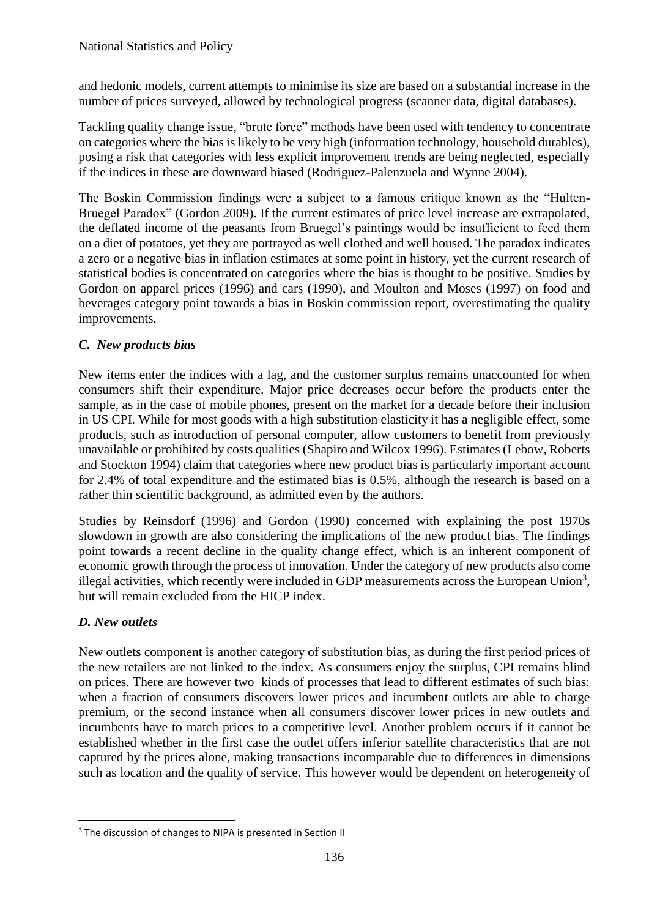and hedonic models, current attempts to minimise its size are based on a substantial increase in the number of prices surveyed, allowed by technological progress (scanner data, digital databases).

Tackling quality change issue, "brute force" methods have been used with tendency to concentrate on categories where the bias is likely to be very high (information technology, household durables), posing a risk that categories with less explicit improvement trends are being neglected, especially if the indices in these are downward biased (Rodriguez-Palenzuela and Wynne 2004).

The Boskin Commission findings were a subject to a famous critique known as the "Hulten-Bruegel Paradox" (Gordon 2009). If the current estimates of price level increase are extrapolated, the deflated income of the peasants from Bruegel's paintings would be insufficient to feed them on a diet of potatoes, yet they are portrayed as well clothed and well housed. The paradox indicates a zero or a negative bias in inflation estimates at some point in history, yet the current research of statistical bodies is concentrated on categories where the bias is thought to be positive. Studies by Gordon on apparel prices (1996) and cars (1990), and Moulton and Moses (1997) on food and beverages category point towards a bias in Boskin commission report, overestimating the quality improvements.

# *C. New products bias*

New items enter the indices with a lag, and the customer surplus remains unaccounted for when consumers shift their expenditure. Major price decreases occur before the products enter the sample, as in the case of mobile phones, present on the market for a decade before their inclusion in US CPI. While for most goods with a high substitution elasticity it has a negligible effect, some products, such as introduction of personal computer, allow customers to benefit from previously unavailable or prohibited by costs qualities (Shapiro and Wilcox 1996). Estimates (Lebow, Roberts and Stockton 1994) claim that categories where new product bias is particularly important account for 2.4% of total expenditure and the estimated bias is 0.5%, although the research is based on a rather thin scientific background, as admitted even by the authors.

Studies by Reinsdorf (1996) and Gordon (1990) concerned with explaining the post 1970s slowdown in growth are also considering the implications of the new product bias. The findings point towards a recent decline in the quality change effect, which is an inherent component of economic growth through the process of innovation. Under the category of new products also come illegal activities, which recently were included in GDP measurements across the European Union<sup>3</sup>, but will remain excluded from the HICP index.

# *D. New outlets*

New outlets component is another category of substitution bias, as during the first period prices of the new retailers are not linked to the index. As consumers enjoy the surplus, CPI remains blind on prices. There are however two kinds of processes that lead to different estimates of such bias: when a fraction of consumers discovers lower prices and incumbent outlets are able to charge premium, or the second instance when all consumers discover lower prices in new outlets and incumbents have to match prices to a competitive level. Another problem occurs if it cannot be established whether in the first case the outlet offers inferior satellite characteristics that are not captured by the prices alone, making transactions incomparable due to differences in dimensions such as location and the quality of service. This however would be dependent on heterogeneity of

**<sup>.</sup>** <sup>3</sup> The discussion of changes to NIPA is presented in Section II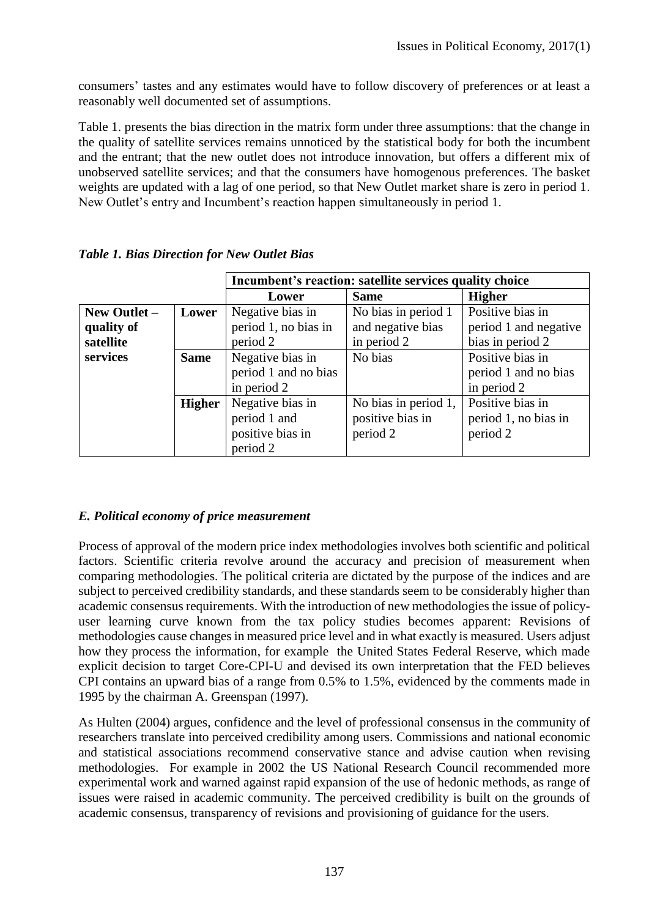consumers' tastes and any estimates would have to follow discovery of preferences or at least a reasonably well documented set of assumptions.

Table 1. presents the bias direction in the matrix form under three assumptions: that the change in the quality of satellite services remains unnoticed by the statistical body for both the incumbent and the entrant; that the new outlet does not introduce innovation, but offers a different mix of unobserved satellite services; and that the consumers have homogenous preferences. The basket weights are updated with a lag of one period, so that New Outlet market share is zero in period 1. New Outlet's entry and Incumbent's reaction happen simultaneously in period 1.

|              |               | Incumbent's reaction: satellite services quality choice |                      |                       |  |  |  |  |  |
|--------------|---------------|---------------------------------------------------------|----------------------|-----------------------|--|--|--|--|--|
|              |               | Lower                                                   | <b>Same</b>          | <b>Higher</b>         |  |  |  |  |  |
| New Outlet - | Lower         | Negative bias in                                        | No bias in period 1  | Positive bias in      |  |  |  |  |  |
| quality of   |               | period 1, no bias in                                    | and negative bias    | period 1 and negative |  |  |  |  |  |
| satellite    |               | period 2                                                | in period 2          | bias in period 2      |  |  |  |  |  |
| services     | <b>Same</b>   | Negative bias in                                        | No bias              | Positive bias in      |  |  |  |  |  |
|              |               | period 1 and no bias                                    |                      | period 1 and no bias  |  |  |  |  |  |
|              |               | in period 2                                             |                      | in period 2           |  |  |  |  |  |
|              | <b>Higher</b> | Negative bias in                                        | No bias in period 1, | Positive bias in      |  |  |  |  |  |
|              |               | period 1 and                                            | positive bias in     | period 1, no bias in  |  |  |  |  |  |
|              |               | positive bias in                                        | period 2             | period 2              |  |  |  |  |  |
|              |               | period 2                                                |                      |                       |  |  |  |  |  |

*Table 1. Bias Direction for New Outlet Bias*

# *E. Political economy of price measurement*

Process of approval of the modern price index methodologies involves both scientific and political factors. Scientific criteria revolve around the accuracy and precision of measurement when comparing methodologies. The political criteria are dictated by the purpose of the indices and are subject to perceived credibility standards, and these standards seem to be considerably higher than academic consensus requirements. With the introduction of new methodologies the issue of policyuser learning curve known from the tax policy studies becomes apparent: Revisions of methodologies cause changes in measured price level and in what exactly is measured. Users adjust how they process the information, for example the United States Federal Reserve, which made explicit decision to target Core-CPI-U and devised its own interpretation that the FED believes CPI contains an upward bias of a range from 0.5% to 1.5%, evidenced by the comments made in 1995 by the chairman A. Greenspan (1997).

As Hulten (2004) argues, confidence and the level of professional consensus in the community of researchers translate into perceived credibility among users. Commissions and national economic and statistical associations recommend conservative stance and advise caution when revising methodologies. For example in 2002 the US National Research Council recommended more experimental work and warned against rapid expansion of the use of hedonic methods, as range of issues were raised in academic community. The perceived credibility is built on the grounds of academic consensus, transparency of revisions and provisioning of guidance for the users.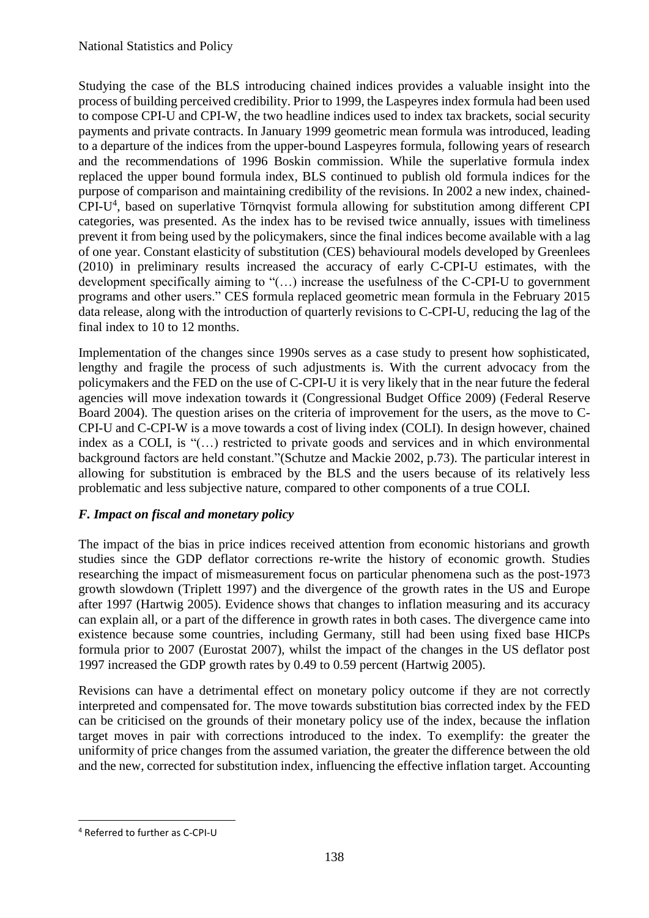Studying the case of the BLS introducing chained indices provides a valuable insight into the process of building perceived credibility. Prior to 1999, the Laspeyres index formula had been used to compose CPI-U and CPI-W, the two headline indices used to index tax brackets, social security payments and private contracts. In January 1999 geometric mean formula was introduced, leading to a departure of the indices from the upper-bound Laspeyres formula, following years of research and the recommendations of 1996 Boskin commission. While the superlative formula index replaced the upper bound formula index, BLS continued to publish old formula indices for the purpose of comparison and maintaining credibility of the revisions. In 2002 a new index, chained-CPI-U 4 , based on superlative Törnqvist formula allowing for substitution among different CPI categories, was presented. As the index has to be revised twice annually, issues with timeliness prevent it from being used by the policymakers, since the final indices become available with a lag of one year. Constant elasticity of substitution (CES) behavioural models developed by Greenlees (2010) in preliminary results increased the accuracy of early C-CPI-U estimates, with the development specifically aiming to "(…) increase the usefulness of the C-CPI-U to government programs and other users." CES formula replaced geometric mean formula in the February 2015 data release, along with the introduction of quarterly revisions to C-CPI-U, reducing the lag of the final index to 10 to 12 months.

Implementation of the changes since 1990s serves as a case study to present how sophisticated, lengthy and fragile the process of such adjustments is. With the current advocacy from the policymakers and the FED on the use of C-CPI-U it is very likely that in the near future the federal agencies will move indexation towards it (Congressional Budget Office 2009) (Federal Reserve Board 2004). The question arises on the criteria of improvement for the users, as the move to C-CPI-U and C-CPI-W is a move towards a cost of living index (COLI). In design however, chained index as a COLI, is "(…) restricted to private goods and services and in which environmental background factors are held constant."(Schutze and Mackie 2002, p.73). The particular interest in allowing for substitution is embraced by the BLS and the users because of its relatively less problematic and less subjective nature, compared to other components of a true COLI.

# *F. Impact on fiscal and monetary policy*

The impact of the bias in price indices received attention from economic historians and growth studies since the GDP deflator corrections re-write the history of economic growth. Studies researching the impact of mismeasurement focus on particular phenomena such as the post-1973 growth slowdown (Triplett 1997) and the divergence of the growth rates in the US and Europe after 1997 (Hartwig 2005). Evidence shows that changes to inflation measuring and its accuracy can explain all, or a part of the difference in growth rates in both cases. The divergence came into existence because some countries, including Germany, still had been using fixed base HICPs formula prior to 2007 (Eurostat 2007), whilst the impact of the changes in the US deflator post 1997 increased the GDP growth rates by 0.49 to 0.59 percent (Hartwig 2005).

Revisions can have a detrimental effect on monetary policy outcome if they are not correctly interpreted and compensated for. The move towards substitution bias corrected index by the FED can be criticised on the grounds of their monetary policy use of the index, because the inflation target moves in pair with corrections introduced to the index. To exemplify: the greater the uniformity of price changes from the assumed variation, the greater the difference between the old and the new, corrected for substitution index, influencing the effective inflation target. Accounting

**.** 

<sup>4</sup> Referred to further as C-CPI-U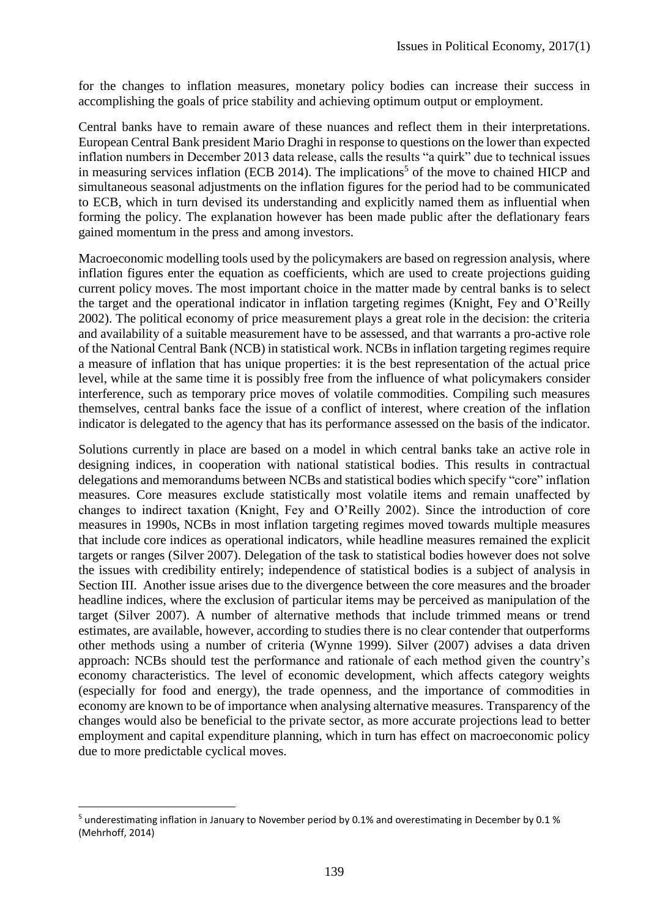for the changes to inflation measures, monetary policy bodies can increase their success in accomplishing the goals of price stability and achieving optimum output or employment.

Central banks have to remain aware of these nuances and reflect them in their interpretations. European Central Bank president Mario Draghi in response to questions on the lower than expected inflation numbers in December 2013 data release, calls the results "a quirk" due to technical issues in measuring services inflation (ECB 2014). The implications<sup>5</sup> of the move to chained HICP and simultaneous seasonal adjustments on the inflation figures for the period had to be communicated to ECB, which in turn devised its understanding and explicitly named them as influential when forming the policy. The explanation however has been made public after the deflationary fears gained momentum in the press and among investors.

Macroeconomic modelling tools used by the policymakers are based on regression analysis, where inflation figures enter the equation as coefficients, which are used to create projections guiding current policy moves. The most important choice in the matter made by central banks is to select the target and the operational indicator in inflation targeting regimes (Knight, Fey and O'Reilly 2002). The political economy of price measurement plays a great role in the decision: the criteria and availability of a suitable measurement have to be assessed, and that warrants a pro-active role of the National Central Bank (NCB) in statistical work. NCBs in inflation targeting regimes require a measure of inflation that has unique properties: it is the best representation of the actual price level, while at the same time it is possibly free from the influence of what policymakers consider interference, such as temporary price moves of volatile commodities. Compiling such measures themselves, central banks face the issue of a conflict of interest, where creation of the inflation indicator is delegated to the agency that has its performance assessed on the basis of the indicator.

Solutions currently in place are based on a model in which central banks take an active role in designing indices, in cooperation with national statistical bodies. This results in contractual delegations and memorandums between NCBs and statistical bodies which specify "core" inflation measures. Core measures exclude statistically most volatile items and remain unaffected by changes to indirect taxation (Knight, Fey and O'Reilly 2002). Since the introduction of core measures in 1990s, NCBs in most inflation targeting regimes moved towards multiple measures that include core indices as operational indicators, while headline measures remained the explicit targets or ranges (Silver 2007). Delegation of the task to statistical bodies however does not solve the issues with credibility entirely; independence of statistical bodies is a subject of analysis in Section III. Another issue arises due to the divergence between the core measures and the broader headline indices, where the exclusion of particular items may be perceived as manipulation of the target (Silver 2007). A number of alternative methods that include trimmed means or trend estimates, are available, however, according to studies there is no clear contender that outperforms other methods using a number of criteria (Wynne 1999). Silver (2007) advises a data driven approach: NCBs should test the performance and rationale of each method given the country's economy characteristics. The level of economic development, which affects category weights (especially for food and energy), the trade openness, and the importance of commodities in economy are known to be of importance when analysing alternative measures. Transparency of the changes would also be beneficial to the private sector, as more accurate projections lead to better employment and capital expenditure planning, which in turn has effect on macroeconomic policy due to more predictable cyclical moves.

**.** 

<sup>5</sup> underestimating inflation in January to November period by 0.1% and overestimating in December by 0.1 % (Mehrhoff, 2014)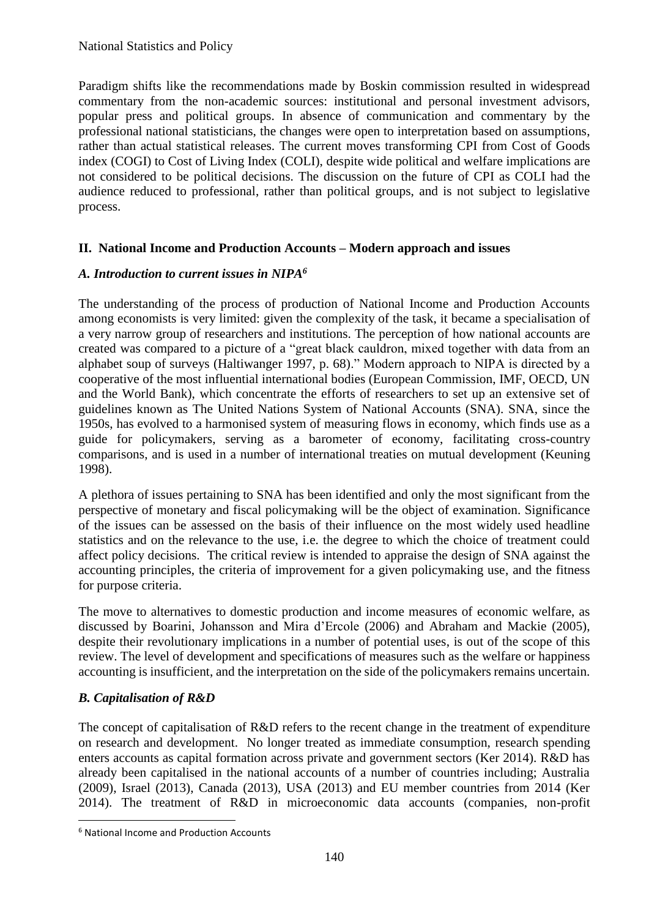Paradigm shifts like the recommendations made by Boskin commission resulted in widespread commentary from the non-academic sources: institutional and personal investment advisors, popular press and political groups. In absence of communication and commentary by the professional national statisticians, the changes were open to interpretation based on assumptions, rather than actual statistical releases. The current moves transforming CPI from Cost of Goods index (COGI) to Cost of Living Index (COLI), despite wide political and welfare implications are not considered to be political decisions. The discussion on the future of CPI as COLI had the audience reduced to professional, rather than political groups, and is not subject to legislative process.

## **II. National Income and Production Accounts – Modern approach and issues**

#### *A. Introduction to current issues in NIPA<sup>6</sup>*

The understanding of the process of production of National Income and Production Accounts among economists is very limited: given the complexity of the task, it became a specialisation of a very narrow group of researchers and institutions. The perception of how national accounts are created was compared to a picture of a "great black cauldron, mixed together with data from an alphabet soup of surveys (Haltiwanger 1997, p. 68)." Modern approach to NIPA is directed by a cooperative of the most influential international bodies (European Commission, IMF, OECD, UN and the World Bank), which concentrate the efforts of researchers to set up an extensive set of guidelines known as The United Nations System of National Accounts (SNA). SNA, since the 1950s, has evolved to a harmonised system of measuring flows in economy, which finds use as a guide for policymakers, serving as a barometer of economy, facilitating cross-country comparisons, and is used in a number of international treaties on mutual development (Keuning 1998).

A plethora of issues pertaining to SNA has been identified and only the most significant from the perspective of monetary and fiscal policymaking will be the object of examination. Significance of the issues can be assessed on the basis of their influence on the most widely used headline statistics and on the relevance to the use, i.e. the degree to which the choice of treatment could affect policy decisions. The critical review is intended to appraise the design of SNA against the accounting principles, the criteria of improvement for a given policymaking use, and the fitness for purpose criteria.

The move to alternatives to domestic production and income measures of economic welfare, as discussed by Boarini, Johansson and Mira d'Ercole (2006) and Abraham and Mackie (2005), despite their revolutionary implications in a number of potential uses, is out of the scope of this review. The level of development and specifications of measures such as the welfare or happiness accounting is insufficient, and the interpretation on the side of the policymakers remains uncertain.

# *B. Capitalisation of R&D*

**.** 

The concept of capitalisation of R&D refers to the recent change in the treatment of expenditure on research and development. No longer treated as immediate consumption, research spending enters accounts as capital formation across private and government sectors (Ker 2014). R&D has already been capitalised in the national accounts of a number of countries including; Australia (2009), Israel (2013), Canada (2013), USA (2013) and EU member countries from 2014 (Ker 2014). The treatment of R&D in microeconomic data accounts (companies, non-profit

<sup>6</sup> National Income and Production Accounts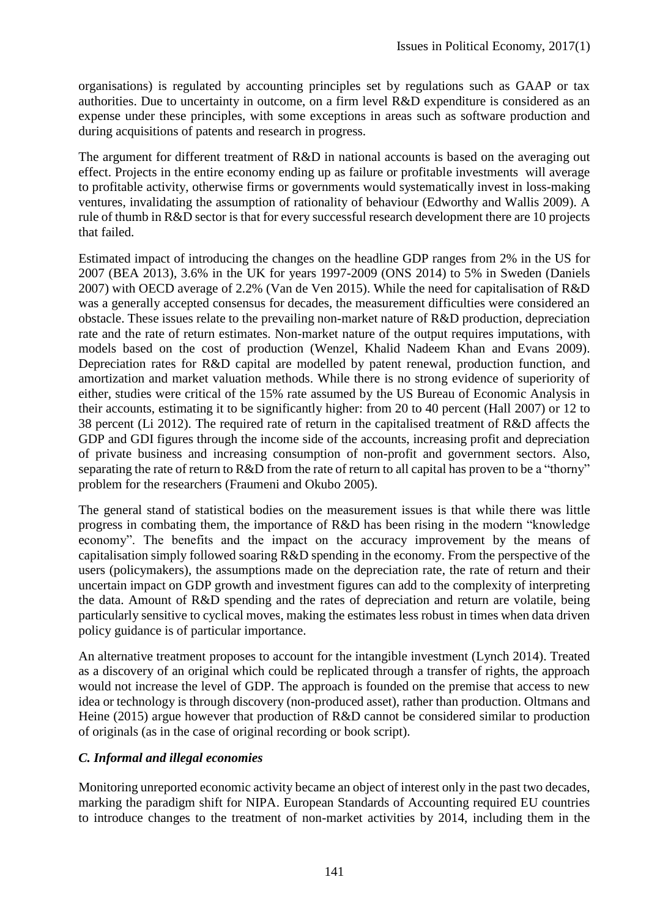organisations) is regulated by accounting principles set by regulations such as GAAP or tax authorities. Due to uncertainty in outcome, on a firm level R&D expenditure is considered as an expense under these principles, with some exceptions in areas such as software production and during acquisitions of patents and research in progress.

The argument for different treatment of R&D in national accounts is based on the averaging out effect. Projects in the entire economy ending up as failure or profitable investments will average to profitable activity, otherwise firms or governments would systematically invest in loss-making ventures, invalidating the assumption of rationality of behaviour (Edworthy and Wallis 2009). A rule of thumb in R&D sector is that for every successful research development there are 10 projects that failed.

Estimated impact of introducing the changes on the headline GDP ranges from 2% in the US for 2007 (BEA 2013), 3.6% in the UK for years 1997-2009 (ONS 2014) to 5% in Sweden (Daniels 2007) with OECD average of 2.2% (Van de Ven 2015). While the need for capitalisation of R&D was a generally accepted consensus for decades, the measurement difficulties were considered an obstacle. These issues relate to the prevailing non-market nature of R&D production, depreciation rate and the rate of return estimates. Non-market nature of the output requires imputations, with models based on the cost of production (Wenzel, Khalid Nadeem Khan and Evans 2009). Depreciation rates for R&D capital are modelled by patent renewal, production function, and amortization and market valuation methods. While there is no strong evidence of superiority of either, studies were critical of the 15% rate assumed by the US Bureau of Economic Analysis in their accounts, estimating it to be significantly higher: from 20 to 40 percent (Hall 2007) or 12 to 38 percent (Li 2012). The required rate of return in the capitalised treatment of R&D affects the GDP and GDI figures through the income side of the accounts, increasing profit and depreciation of private business and increasing consumption of non-profit and government sectors. Also, separating the rate of return to R&D from the rate of return to all capital has proven to be a "thorny" problem for the researchers (Fraumeni and Okubo 2005).

The general stand of statistical bodies on the measurement issues is that while there was little progress in combating them, the importance of R&D has been rising in the modern "knowledge economy". The benefits and the impact on the accuracy improvement by the means of capitalisation simply followed soaring R&D spending in the economy. From the perspective of the users (policymakers), the assumptions made on the depreciation rate, the rate of return and their uncertain impact on GDP growth and investment figures can add to the complexity of interpreting the data. Amount of R&D spending and the rates of depreciation and return are volatile, being particularly sensitive to cyclical moves, making the estimates less robust in times when data driven policy guidance is of particular importance.

An alternative treatment proposes to account for the intangible investment (Lynch 2014). Treated as a discovery of an original which could be replicated through a transfer of rights, the approach would not increase the level of GDP. The approach is founded on the premise that access to new idea or technology is through discovery (non-produced asset), rather than production. Oltmans and Heine (2015) argue however that production of R&D cannot be considered similar to production of originals (as in the case of original recording or book script).

#### *C. Informal and illegal economies*

Monitoring unreported economic activity became an object of interest only in the past two decades, marking the paradigm shift for NIPA. European Standards of Accounting required EU countries to introduce changes to the treatment of non-market activities by 2014, including them in the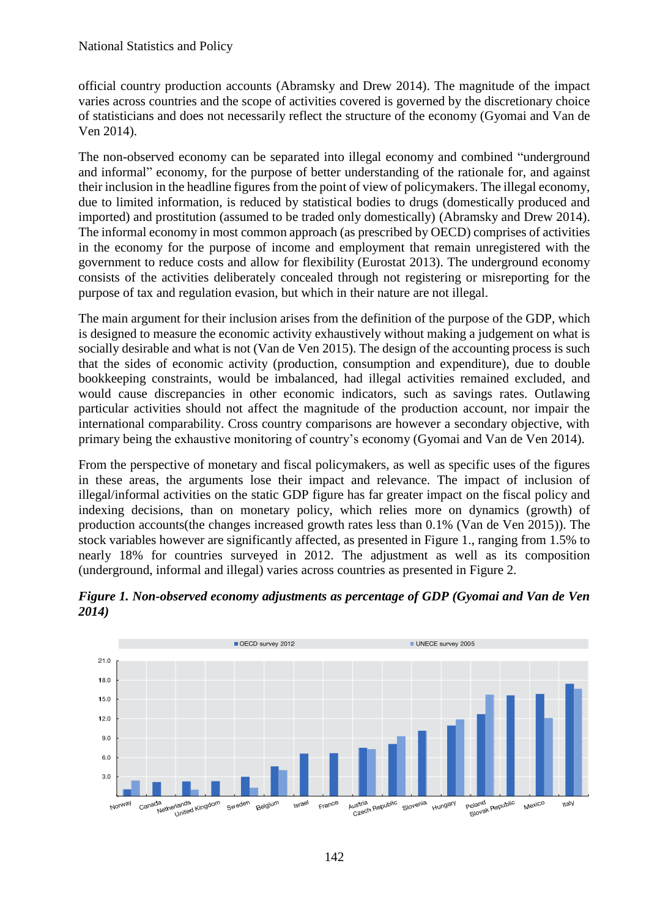official country production accounts (Abramsky and Drew 2014). The magnitude of the impact varies across countries and the scope of activities covered is governed by the discretionary choice of statisticians and does not necessarily reflect the structure of the economy (Gyomai and Van de Ven 2014).

The non-observed economy can be separated into illegal economy and combined "underground and informal" economy, for the purpose of better understanding of the rationale for, and against their inclusion in the headline figures from the point of view of policymakers. The illegal economy, due to limited information, is reduced by statistical bodies to drugs (domestically produced and imported) and prostitution (assumed to be traded only domestically) (Abramsky and Drew 2014). The informal economy in most common approach (as prescribed by OECD) comprises of activities in the economy for the purpose of income and employment that remain unregistered with the government to reduce costs and allow for flexibility (Eurostat 2013). The underground economy consists of the activities deliberately concealed through not registering or misreporting for the purpose of tax and regulation evasion, but which in their nature are not illegal.

The main argument for their inclusion arises from the definition of the purpose of the GDP, which is designed to measure the economic activity exhaustively without making a judgement on what is socially desirable and what is not (Van de Ven 2015). The design of the accounting process is such that the sides of economic activity (production, consumption and expenditure), due to double bookkeeping constraints, would be imbalanced, had illegal activities remained excluded, and would cause discrepancies in other economic indicators, such as savings rates. Outlawing particular activities should not affect the magnitude of the production account, nor impair the international comparability. Cross country comparisons are however a secondary objective, with primary being the exhaustive monitoring of country's economy (Gyomai and Van de Ven 2014).

From the perspective of monetary and fiscal policymakers, as well as specific uses of the figures in these areas, the arguments lose their impact and relevance. The impact of inclusion of illegal/informal activities on the static GDP figure has far greater impact on the fiscal policy and indexing decisions, than on monetary policy, which relies more on dynamics (growth) of production accounts(the changes increased growth rates less than 0.1% (Van de Ven 2015)). The stock variables however are significantly affected, as presented in Figure 1., ranging from 1.5% to nearly 18% for countries surveyed in 2012. The adjustment as well as its composition (underground, informal and illegal) varies across countries as presented in Figure 2.



*Figure 1. Non-observed economy adjustments as percentage of GDP (Gyomai and Van de Ven 2014)*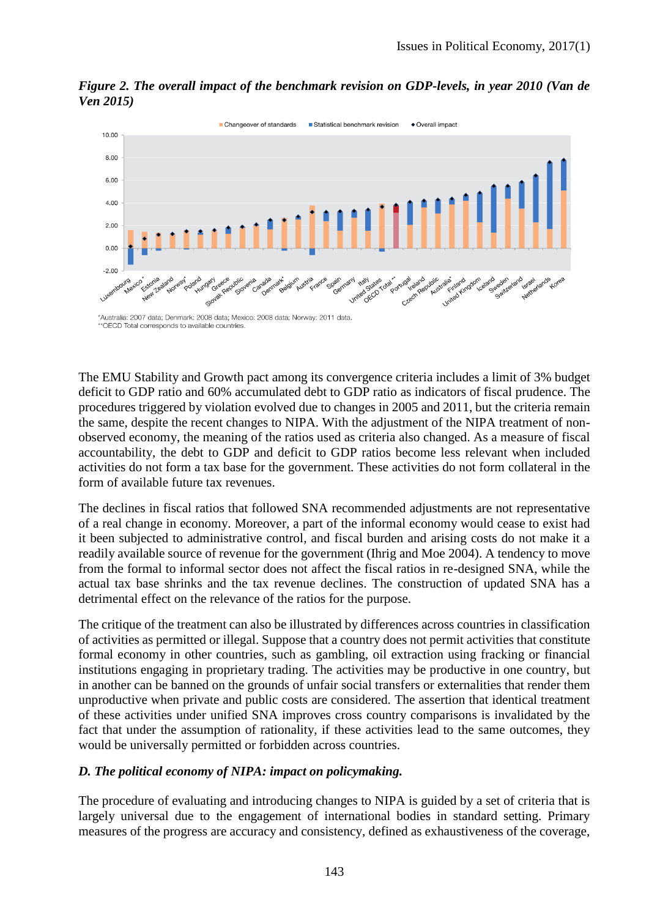

*Figure 2. The overall impact of the benchmark revision on GDP-levels, in year 2010 (Van de Ven 2015)*

\*Australia: 2007 data; Denmark: 2008 data; Mexico: 2008 data; Norway: 2011 data \*\* OECD Total corresponds to available countries

The EMU Stability and Growth pact among its convergence criteria includes a limit of 3% budget deficit to GDP ratio and 60% accumulated debt to GDP ratio as indicators of fiscal prudence. The procedures triggered by violation evolved due to changes in 2005 and 2011, but the criteria remain the same, despite the recent changes to NIPA. With the adjustment of the NIPA treatment of nonobserved economy, the meaning of the ratios used as criteria also changed. As a measure of fiscal accountability, the debt to GDP and deficit to GDP ratios become less relevant when included activities do not form a tax base for the government. These activities do not form collateral in the form of available future tax revenues.

The declines in fiscal ratios that followed SNA recommended adjustments are not representative of a real change in economy. Moreover, a part of the informal economy would cease to exist had it been subjected to administrative control, and fiscal burden and arising costs do not make it a readily available source of revenue for the government (Ihrig and Moe 2004). A tendency to move from the formal to informal sector does not affect the fiscal ratios in re-designed SNA, while the actual tax base shrinks and the tax revenue declines. The construction of updated SNA has a detrimental effect on the relevance of the ratios for the purpose.

The critique of the treatment can also be illustrated by differences across countries in classification of activities as permitted or illegal. Suppose that a country does not permit activities that constitute formal economy in other countries, such as gambling, oil extraction using fracking or financial institutions engaging in proprietary trading. The activities may be productive in one country, but in another can be banned on the grounds of unfair social transfers or externalities that render them unproductive when private and public costs are considered. The assertion that identical treatment of these activities under unified SNA improves cross country comparisons is invalidated by the fact that under the assumption of rationality, if these activities lead to the same outcomes, they would be universally permitted or forbidden across countries.

# *D. The political economy of NIPA: impact on policymaking.*

The procedure of evaluating and introducing changes to NIPA is guided by a set of criteria that is largely universal due to the engagement of international bodies in standard setting. Primary measures of the progress are accuracy and consistency, defined as exhaustiveness of the coverage,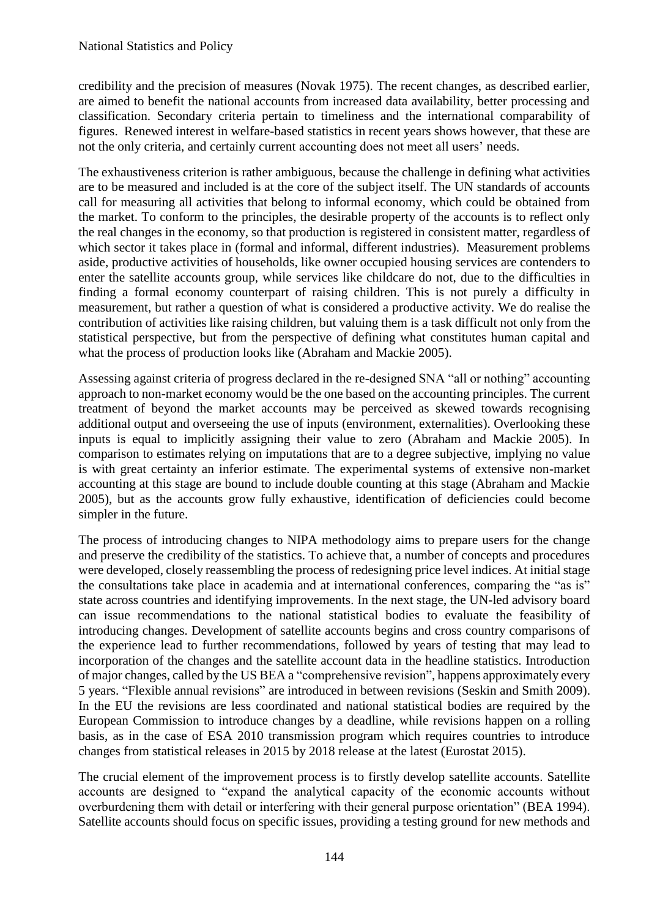credibility and the precision of measures (Novak 1975). The recent changes, as described earlier, are aimed to benefit the national accounts from increased data availability, better processing and classification. Secondary criteria pertain to timeliness and the international comparability of figures. Renewed interest in welfare-based statistics in recent years shows however, that these are not the only criteria, and certainly current accounting does not meet all users' needs.

The exhaustiveness criterion is rather ambiguous, because the challenge in defining what activities are to be measured and included is at the core of the subject itself. The UN standards of accounts call for measuring all activities that belong to informal economy, which could be obtained from the market. To conform to the principles, the desirable property of the accounts is to reflect only the real changes in the economy, so that production is registered in consistent matter, regardless of which sector it takes place in (formal and informal, different industries). Measurement problems aside, productive activities of households, like owner occupied housing services are contenders to enter the satellite accounts group, while services like childcare do not, due to the difficulties in finding a formal economy counterpart of raising children. This is not purely a difficulty in measurement, but rather a question of what is considered a productive activity. We do realise the contribution of activities like raising children, but valuing them is a task difficult not only from the statistical perspective, but from the perspective of defining what constitutes human capital and what the process of production looks like (Abraham and Mackie 2005).

Assessing against criteria of progress declared in the re-designed SNA "all or nothing" accounting approach to non-market economy would be the one based on the accounting principles. The current treatment of beyond the market accounts may be perceived as skewed towards recognising additional output and overseeing the use of inputs (environment, externalities). Overlooking these inputs is equal to implicitly assigning their value to zero (Abraham and Mackie 2005). In comparison to estimates relying on imputations that are to a degree subjective, implying no value is with great certainty an inferior estimate. The experimental systems of extensive non-market accounting at this stage are bound to include double counting at this stage (Abraham and Mackie 2005), but as the accounts grow fully exhaustive, identification of deficiencies could become simpler in the future.

The process of introducing changes to NIPA methodology aims to prepare users for the change and preserve the credibility of the statistics. To achieve that, a number of concepts and procedures were developed, closely reassembling the process of redesigning price level indices. At initial stage the consultations take place in academia and at international conferences, comparing the "as is" state across countries and identifying improvements. In the next stage, the UN-led advisory board can issue recommendations to the national statistical bodies to evaluate the feasibility of introducing changes. Development of satellite accounts begins and cross country comparisons of the experience lead to further recommendations, followed by years of testing that may lead to incorporation of the changes and the satellite account data in the headline statistics. Introduction of major changes, called by the US BEA a "comprehensive revision", happens approximately every 5 years. "Flexible annual revisions" are introduced in between revisions (Seskin and Smith 2009). In the EU the revisions are less coordinated and national statistical bodies are required by the European Commission to introduce changes by a deadline, while revisions happen on a rolling basis, as in the case of ESA 2010 transmission program which requires countries to introduce changes from statistical releases in 2015 by 2018 release at the latest (Eurostat 2015).

The crucial element of the improvement process is to firstly develop satellite accounts. Satellite accounts are designed to "expand the analytical capacity of the economic accounts without overburdening them with detail or interfering with their general purpose orientation" (BEA 1994). Satellite accounts should focus on specific issues, providing a testing ground for new methods and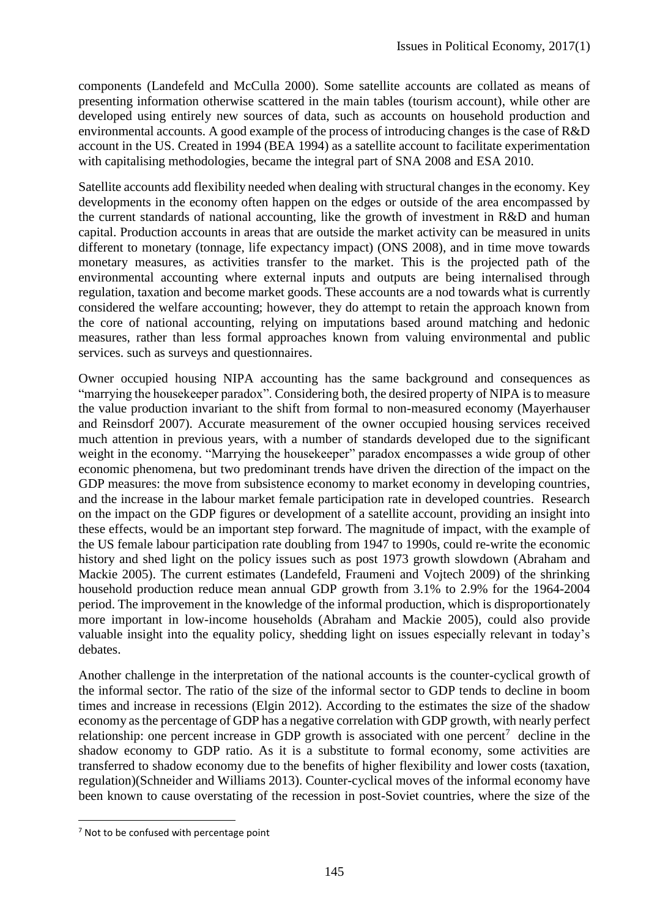components (Landefeld and McCulla 2000). Some satellite accounts are collated as means of presenting information otherwise scattered in the main tables (tourism account), while other are developed using entirely new sources of data, such as accounts on household production and environmental accounts. A good example of the process of introducing changes is the case of R&D account in the US. Created in 1994 (BEA 1994) as a satellite account to facilitate experimentation with capitalising methodologies, became the integral part of SNA 2008 and ESA 2010.

Satellite accounts add flexibility needed when dealing with structural changes in the economy. Key developments in the economy often happen on the edges or outside of the area encompassed by the current standards of national accounting, like the growth of investment in R&D and human capital. Production accounts in areas that are outside the market activity can be measured in units different to monetary (tonnage, life expectancy impact) (ONS 2008), and in time move towards monetary measures, as activities transfer to the market. This is the projected path of the environmental accounting where external inputs and outputs are being internalised through regulation, taxation and become market goods. These accounts are a nod towards what is currently considered the welfare accounting; however, they do attempt to retain the approach known from the core of national accounting, relying on imputations based around matching and hedonic measures, rather than less formal approaches known from valuing environmental and public services. such as surveys and questionnaires.

Owner occupied housing NIPA accounting has the same background and consequences as "marrying the housekeeper paradox". Considering both, the desired property of NIPA is to measure the value production invariant to the shift from formal to non-measured economy (Mayerhauser and Reinsdorf 2007). Accurate measurement of the owner occupied housing services received much attention in previous years, with a number of standards developed due to the significant weight in the economy. "Marrying the housekeeper" paradox encompasses a wide group of other economic phenomena, but two predominant trends have driven the direction of the impact on the GDP measures: the move from subsistence economy to market economy in developing countries, and the increase in the labour market female participation rate in developed countries. Research on the impact on the GDP figures or development of a satellite account, providing an insight into these effects, would be an important step forward. The magnitude of impact, with the example of the US female labour participation rate doubling from 1947 to 1990s, could re-write the economic history and shed light on the policy issues such as post 1973 growth slowdown (Abraham and Mackie 2005). The current estimates (Landefeld, Fraumeni and Vojtech 2009) of the shrinking household production reduce mean annual GDP growth from 3.1% to 2.9% for the 1964-2004 period. The improvement in the knowledge of the informal production, which is disproportionately more important in low-income households (Abraham and Mackie 2005), could also provide valuable insight into the equality policy, shedding light on issues especially relevant in today's debates.

Another challenge in the interpretation of the national accounts is the counter-cyclical growth of the informal sector. The ratio of the size of the informal sector to GDP tends to decline in boom times and increase in recessions (Elgin 2012). According to the estimates the size of the shadow economy asthe percentage of GDP has a negative correlation with GDP growth, with nearly perfect relationship: one percent increase in GDP growth is associated with one percent<sup>7</sup> decline in the shadow economy to GDP ratio. As it is a substitute to formal economy, some activities are transferred to shadow economy due to the benefits of higher flexibility and lower costs (taxation, regulation)(Schneider and Williams 2013). Counter-cyclical moves of the informal economy have been known to cause overstating of the recession in post-Soviet countries, where the size of the

**.** 

 $<sup>7</sup>$  Not to be confused with percentage point</sup>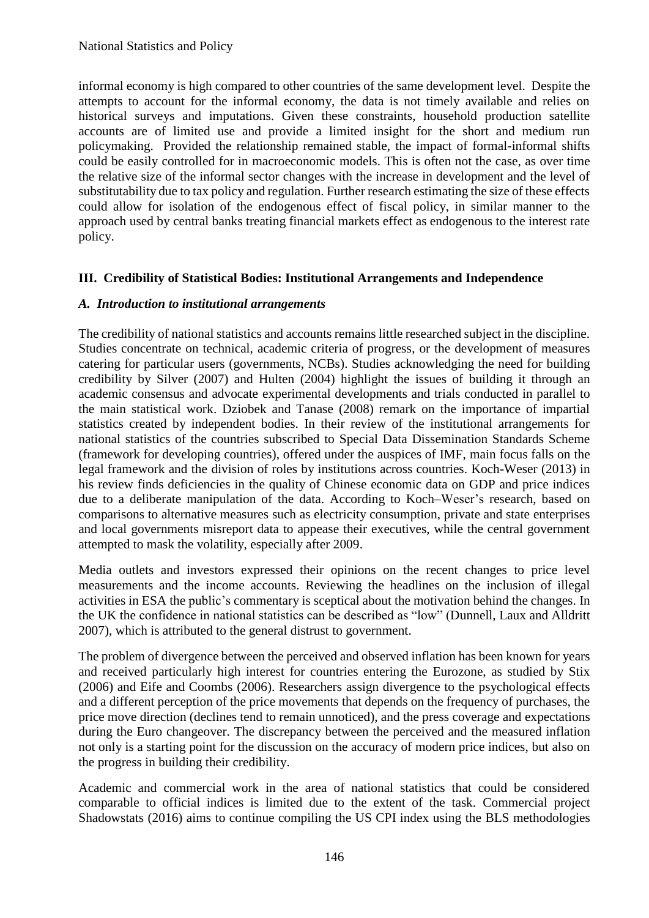informal economy is high compared to other countries of the same development level. Despite the attempts to account for the informal economy, the data is not timely available and relies on historical surveys and imputations. Given these constraints, household production satellite accounts are of limited use and provide a limited insight for the short and medium run policymaking. Provided the relationship remained stable, the impact of formal-informal shifts could be easily controlled for in macroeconomic models. This is often not the case, as over time the relative size of the informal sector changes with the increase in development and the level of substitutability due to tax policy and regulation. Further research estimating the size of these effects could allow for isolation of the endogenous effect of fiscal policy, in similar manner to the approach used by central banks treating financial markets effect as endogenous to the interest rate policy.

## **III. Credibility of Statistical Bodies: Institutional Arrangements and Independence**

#### *A. Introduction to institutional arrangements*

The credibility of national statistics and accounts remains little researched subject in the discipline. Studies concentrate on technical, academic criteria of progress, or the development of measures catering for particular users (governments, NCBs). Studies acknowledging the need for building credibility by Silver (2007) and Hulten (2004) highlight the issues of building it through an academic consensus and advocate experimental developments and trials conducted in parallel to the main statistical work. Dziobek and Tanase (2008) remark on the importance of impartial statistics created by independent bodies. In their review of the institutional arrangements for national statistics of the countries subscribed to Special Data Dissemination Standards Scheme (framework for developing countries), offered under the auspices of IMF, main focus falls on the legal framework and the division of roles by institutions across countries. Koch-Weser (2013) in his review finds deficiencies in the quality of Chinese economic data on GDP and price indices due to a deliberate manipulation of the data. According to Koch–Weser's research, based on comparisons to alternative measures such as electricity consumption, private and state enterprises and local governments misreport data to appease their executives, while the central government attempted to mask the volatility, especially after 2009.

Media outlets and investors expressed their opinions on the recent changes to price level measurements and the income accounts. Reviewing the headlines on the inclusion of illegal activities in ESA the public's commentary is sceptical about the motivation behind the changes. In the UK the confidence in national statistics can be described as "low" (Dunnell, Laux and Alldritt 2007), which is attributed to the general distrust to government.

The problem of divergence between the perceived and observed inflation has been known for years and received particularly high interest for countries entering the Eurozone, as studied by Stix (2006) and Eife and Coombs (2006). Researchers assign divergence to the psychological effects and a different perception of the price movements that depends on the frequency of purchases, the price move direction (declines tend to remain unnoticed), and the press coverage and expectations during the Euro changeover. The discrepancy between the perceived and the measured inflation not only is a starting point for the discussion on the accuracy of modern price indices, but also on the progress in building their credibility.

Academic and commercial work in the area of national statistics that could be considered comparable to official indices is limited due to the extent of the task. Commercial project Shadowstats (2016) aims to continue compiling the US CPI index using the BLS methodologies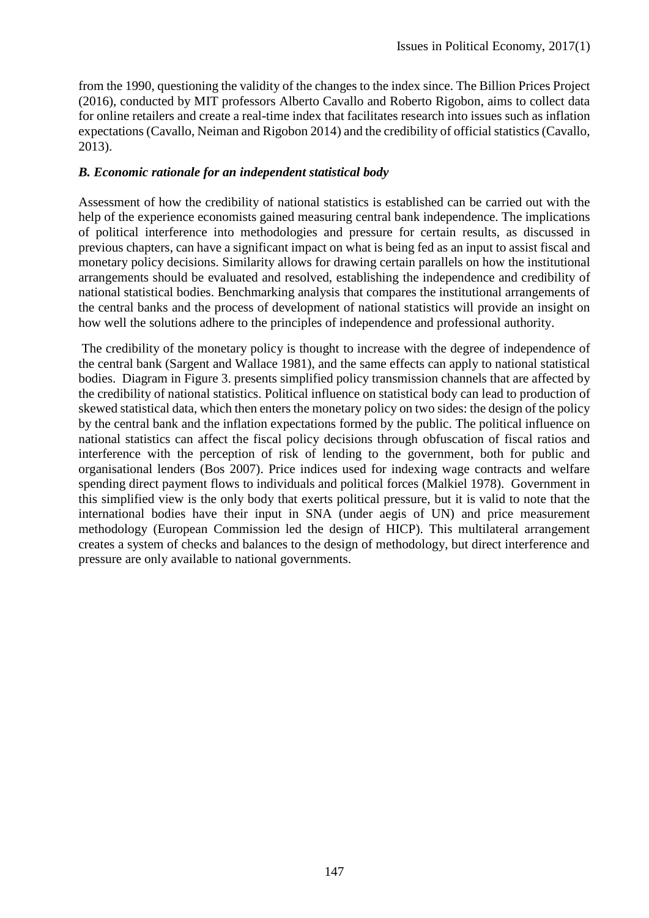from the 1990, questioning the validity of the changes to the index since. The Billion Prices Project (2016), conducted by MIT professors Alberto Cavallo and Roberto Rigobon, aims to collect data for online retailers and create a real-time index that facilitates research into issues such as inflation expectations (Cavallo, Neiman and Rigobon 2014) and the credibility of official statistics (Cavallo, 2013).

### *B. Economic rationale for an independent statistical body*

Assessment of how the credibility of national statistics is established can be carried out with the help of the experience economists gained measuring central bank independence. The implications of political interference into methodologies and pressure for certain results, as discussed in previous chapters, can have a significant impact on what is being fed as an input to assist fiscal and monetary policy decisions. Similarity allows for drawing certain parallels on how the institutional arrangements should be evaluated and resolved, establishing the independence and credibility of national statistical bodies. Benchmarking analysis that compares the institutional arrangements of the central banks and the process of development of national statistics will provide an insight on how well the solutions adhere to the principles of independence and professional authority.

The credibility of the monetary policy is thought to increase with the degree of independence of the central bank (Sargent and Wallace 1981), and the same effects can apply to national statistical bodies. Diagram in Figure 3. presents simplified policy transmission channels that are affected by the credibility of national statistics. Political influence on statistical body can lead to production of skewed statistical data, which then enters the monetary policy on two sides: the design of the policy by the central bank and the inflation expectations formed by the public. The political influence on national statistics can affect the fiscal policy decisions through obfuscation of fiscal ratios and interference with the perception of risk of lending to the government, both for public and organisational lenders (Bos 2007). Price indices used for indexing wage contracts and welfare spending direct payment flows to individuals and political forces (Malkiel 1978). Government in this simplified view is the only body that exerts political pressure, but it is valid to note that the international bodies have their input in SNA (under aegis of UN) and price measurement methodology (European Commission led the design of HICP). This multilateral arrangement creates a system of checks and balances to the design of methodology, but direct interference and pressure are only available to national governments.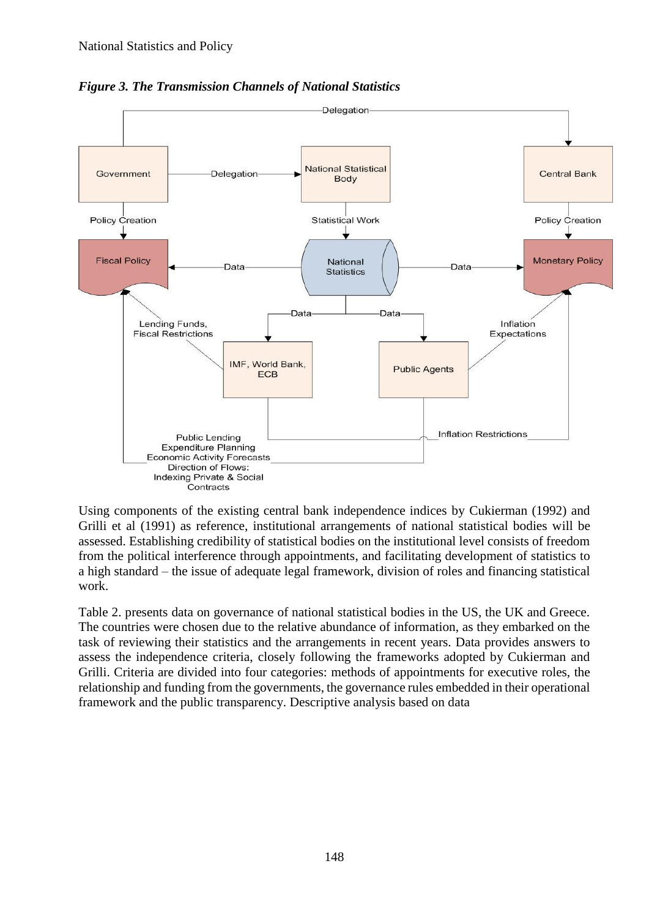

*Figure 3. The Transmission Channels of National Statistics*

Using components of the existing central bank independence indices by Cukierman (1992) and Grilli et al (1991) as reference, institutional arrangements of national statistical bodies will be assessed. Establishing credibility of statistical bodies on the institutional level consists of freedom from the political interference through appointments, and facilitating development of statistics to a high standard – the issue of adequate legal framework, division of roles and financing statistical work.

Table 2. presents data on governance of national statistical bodies in the US, the UK and Greece. The countries were chosen due to the relative abundance of information, as they embarked on the task of reviewing their statistics and the arrangements in recent years. Data provides answers to assess the independence criteria, closely following the frameworks adopted by Cukierman and Grilli. Criteria are divided into four categories: methods of appointments for executive roles, the relationship and funding from the governments, the governance rules embedded in their operational framework and the public transparency. Descriptive analysis based on data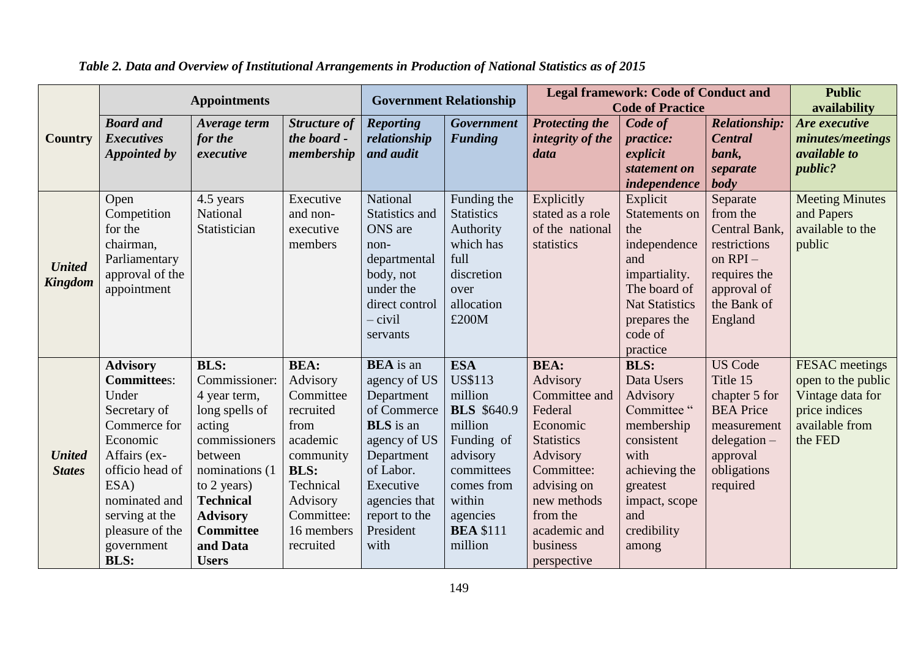|                                 | <b>Appointments</b>                                                                                                                                                                                                      |                                                                                                                                                                                                                               |                                                                                                                                                                     | <b>Government Relationship</b>                                                                                                                                                                   |                                                                                                                                                                                     | <b>Legal framework: Code of Conduct and</b><br><b>Code of Practice</b>                                                                                                                              |                                                                                                                                                                      |                                                                                                                                         | <b>Public</b><br>availability                                                                                 |
|---------------------------------|--------------------------------------------------------------------------------------------------------------------------------------------------------------------------------------------------------------------------|-------------------------------------------------------------------------------------------------------------------------------------------------------------------------------------------------------------------------------|---------------------------------------------------------------------------------------------------------------------------------------------------------------------|--------------------------------------------------------------------------------------------------------------------------------------------------------------------------------------------------|-------------------------------------------------------------------------------------------------------------------------------------------------------------------------------------|-----------------------------------------------------------------------------------------------------------------------------------------------------------------------------------------------------|----------------------------------------------------------------------------------------------------------------------------------------------------------------------|-----------------------------------------------------------------------------------------------------------------------------------------|---------------------------------------------------------------------------------------------------------------|
| <b>Country</b>                  | <b>Board</b> and<br><b>Executives</b><br>Appointed by                                                                                                                                                                    | Average term<br>for the<br>executive                                                                                                                                                                                          | <b>Structure of</b><br>the board -<br>membership                                                                                                                    | <b>Reporting</b><br>relationship<br>and audit                                                                                                                                                    | Government<br><b>Funding</b>                                                                                                                                                        | <b>Protecting the</b><br>integrity of the<br>data                                                                                                                                                   | Code of<br><i>practice:</i><br>explicit<br>statement on<br>independence                                                                                              | <b>Relationship:</b><br><b>Central</b><br>bank,<br>separate<br>body                                                                     | Are executive<br>minutes/meetings<br><i>available to</i><br>public?                                           |
| <b>United</b><br><b>Kingdom</b> | Open<br>Competition<br>for the<br>chairman,<br>Parliamentary<br>approval of the<br>appointment                                                                                                                           | 4.5 years<br>National<br>Statistician                                                                                                                                                                                         | Executive<br>and non-<br>executive<br>members                                                                                                                       | National<br>Statistics and<br><b>ONS</b> are<br>non-<br>departmental<br>body, not<br>under the<br>direct control<br>– civil<br>servants                                                          | Funding the<br><b>Statistics</b><br>Authority<br>which has<br>full<br>discretion<br>over<br>allocation<br>£200M                                                                     | Explicitly<br>stated as a role<br>of the national<br>statistics                                                                                                                                     | Explicit<br>Statements on<br>the<br>independence<br>and<br>impartiality.<br>The board of<br><b>Nat Statistics</b><br>prepares the<br>code of<br>practice             | Separate<br>from the<br>Central Bank,<br>restrictions<br>on $RPI -$<br>requires the<br>approval of<br>the Bank of<br>England            | <b>Meeting Minutes</b><br>and Papers<br>available to the<br>public                                            |
| <b>United</b><br><b>States</b>  | <b>Advisory</b><br><b>Committees:</b><br>Under<br>Secretary of<br>Commerce for<br>Economic<br>Affairs (ex-<br>officio head of<br>ESA)<br>nominated and<br>serving at the<br>pleasure of the<br>government<br><b>BLS:</b> | <b>BLS:</b><br>Commissioner:<br>4 year term,<br>long spells of<br>acting<br>commissioners<br>between<br>nominations (1)<br>to 2 years)<br><b>Technical</b><br><b>Advisory</b><br><b>Committee</b><br>and Data<br><b>Users</b> | <b>BEA:</b><br>Advisory<br>Committee<br>recruited<br>from<br>academic<br>community<br><b>BLS:</b><br>Technical<br>Advisory<br>Committee:<br>16 members<br>recruited | <b>BEA</b> is an<br>agency of US<br>Department<br>of Commerce<br><b>BLS</b> is an<br>agency of US<br>Department<br>of Labor.<br>Executive<br>agencies that<br>report to the<br>President<br>with | <b>ESA</b><br><b>US\$113</b><br>million<br><b>BLS</b> \$640.9<br>million<br>Funding of<br>advisory<br>committees<br>comes from<br>within<br>agencies<br><b>BEA \$111</b><br>million | <b>BEA:</b><br>Advisory<br>Committee and<br>Federal<br>Economic<br><b>Statistics</b><br>Advisory<br>Committee:<br>advising on<br>new methods<br>from the<br>academic and<br>business<br>perspective | <b>BLS:</b><br>Data Users<br>Advisory<br>Committee"<br>membership<br>consistent<br>with<br>achieving the<br>greatest<br>impact, scope<br>and<br>credibility<br>among | <b>US Code</b><br>Title 15<br>chapter 5 for<br><b>BEA</b> Price<br>measurement<br>$delegation -$<br>approval<br>obligations<br>required | <b>FESAC</b> meetings<br>open to the public<br>Vintage data for<br>price indices<br>available from<br>the FED |

*Table 2. Data and Overview of Institutional Arrangements in Production of National Statistics as of 2015*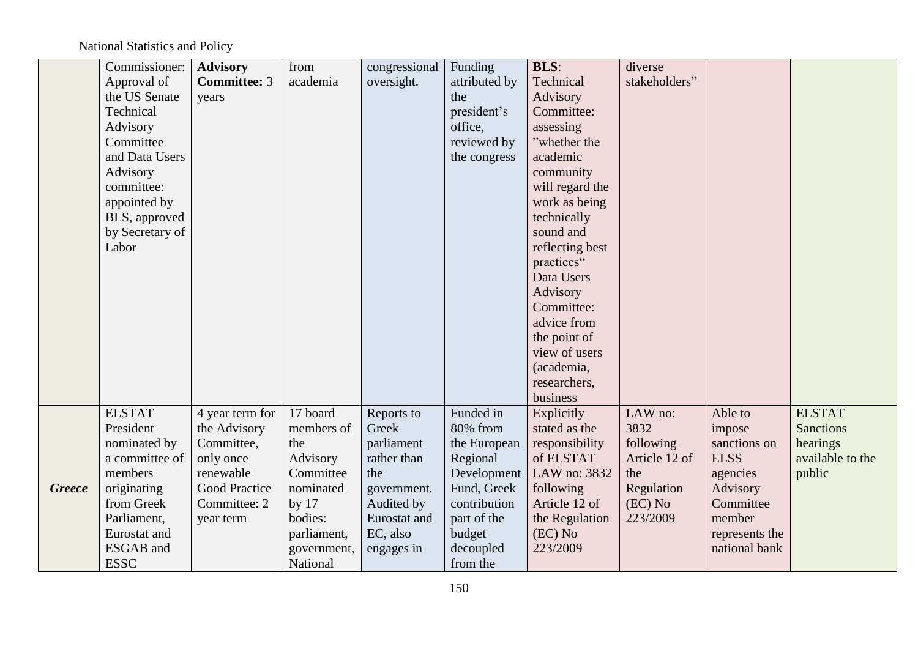# National Statistics and Policy

|               | Commissioner:   | <b>Advisory</b>     | from        | congressional | Funding       | <b>BLS:</b>     | diverse       |                |                  |
|---------------|-----------------|---------------------|-------------|---------------|---------------|-----------------|---------------|----------------|------------------|
|               | Approval of     | <b>Committee: 3</b> | academia    | oversight.    | attributed by | Technical       | stakeholders" |                |                  |
|               | the US Senate   | years               |             |               | the           | Advisory        |               |                |                  |
|               | Technical       |                     |             |               | president's   | Committee:      |               |                |                  |
|               | Advisory        |                     |             |               | office,       | assessing       |               |                |                  |
|               | Committee       |                     |             |               | reviewed by   | "whether the    |               |                |                  |
|               | and Data Users  |                     |             |               | the congress  | academic        |               |                |                  |
|               | Advisory        |                     |             |               |               | community       |               |                |                  |
|               | committee:      |                     |             |               |               | will regard the |               |                |                  |
|               | appointed by    |                     |             |               |               | work as being   |               |                |                  |
|               | BLS, approved   |                     |             |               |               | technically     |               |                |                  |
|               | by Secretary of |                     |             |               |               | sound and       |               |                |                  |
|               | Labor           |                     |             |               |               | reflecting best |               |                |                  |
|               |                 |                     |             |               |               | practices"      |               |                |                  |
|               |                 |                     |             |               |               | Data Users      |               |                |                  |
|               |                 |                     |             |               |               | Advisory        |               |                |                  |
|               |                 |                     |             |               |               | Committee:      |               |                |                  |
|               |                 |                     |             |               |               | advice from     |               |                |                  |
|               |                 |                     |             |               |               | the point of    |               |                |                  |
|               |                 |                     |             |               |               | view of users   |               |                |                  |
|               |                 |                     |             |               |               | (academia,      |               |                |                  |
|               |                 |                     |             |               |               | researchers,    |               |                |                  |
|               |                 |                     |             |               |               | business        |               |                |                  |
|               | <b>ELSTAT</b>   | 4 year term for     | 17 board    | Reports to    | Funded in     | Explicitly      | LAW no:       | Able to        | <b>ELSTAT</b>    |
|               | President       | the Advisory        | members of  | Greek         | 80% from      | stated as the   | 3832          | impose         | <b>Sanctions</b> |
|               | nominated by    | Committee,          | the         | parliament    | the European  | responsibility  | following     | sanctions on   | hearings         |
|               | a committee of  | only once           | Advisory    | rather than   | Regional      | of ELSTAT       | Article 12 of | <b>ELSS</b>    | available to the |
|               | members         | renewable           | Committee   | the           | Development   | LAW no: 3832    | the           | agencies       | public           |
| <b>Greece</b> | originating     | Good Practice       | nominated   | government.   | Fund, Greek   | following       | Regulation    | Advisory       |                  |
|               | from Greek      | Committee: 2        | by $17$     | Audited by    | contribution  | Article 12 of   | $(EC)$ No     | Committee      |                  |
|               | Parliament,     | year term           | bodies:     | Eurostat and  | part of the   | the Regulation  | 223/2009      | member         |                  |
|               | Eurostat and    |                     | parliament, | EC, also      | budget        | $(EC)$ No       |               | represents the |                  |
|               | ESGAB and       |                     | government, | engages in    | decoupled     | 223/2009        |               | national bank  |                  |
|               | <b>ESSC</b>     |                     | National    |               | from the      |                 |               |                |                  |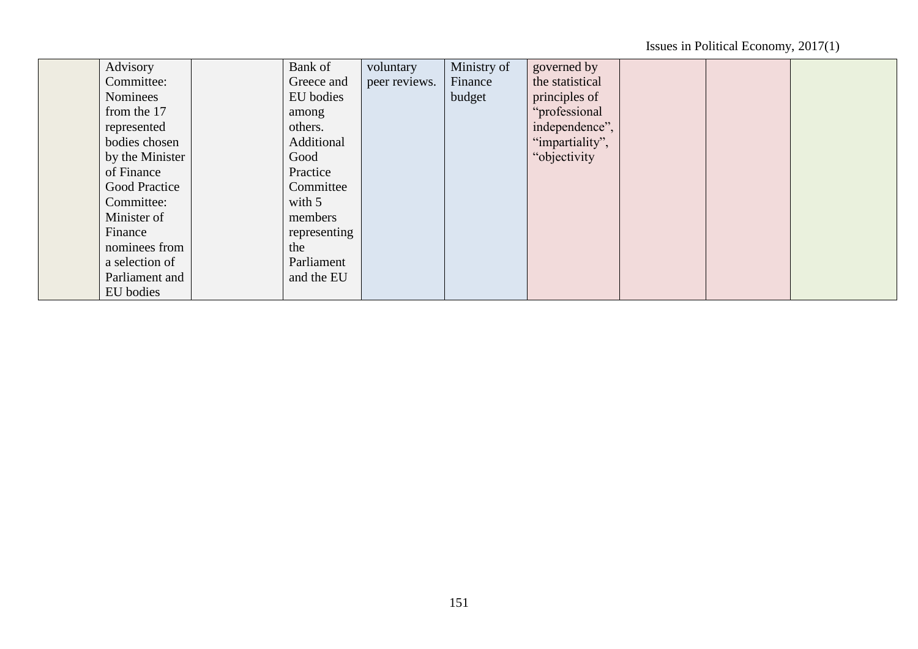Issues in Political Economy, 2017(1)

| Advisory             | Bank of      | voluntary     | Ministry of | governed by     |  |  |
|----------------------|--------------|---------------|-------------|-----------------|--|--|
| Committee:           | Greece and   | peer reviews. | Finance     | the statistical |  |  |
| Nominees             | EU bodies    |               | budget      | principles of   |  |  |
| from the 17          | among        |               |             | "professional   |  |  |
| represented          | others.      |               |             | independence",  |  |  |
| bodies chosen        | Additional   |               |             | "impartiality", |  |  |
| by the Minister      | Good         |               |             | "objectivity    |  |  |
| of Finance           | Practice     |               |             |                 |  |  |
| <b>Good Practice</b> | Committee    |               |             |                 |  |  |
| Committee:           | with $5$     |               |             |                 |  |  |
| Minister of          | members      |               |             |                 |  |  |
| Finance              | representing |               |             |                 |  |  |
| nominees from        | the          |               |             |                 |  |  |
| a selection of       | Parliament   |               |             |                 |  |  |
| Parliament and       | and the EU   |               |             |                 |  |  |
| EU bodies            |              |               |             |                 |  |  |
|                      |              |               |             |                 |  |  |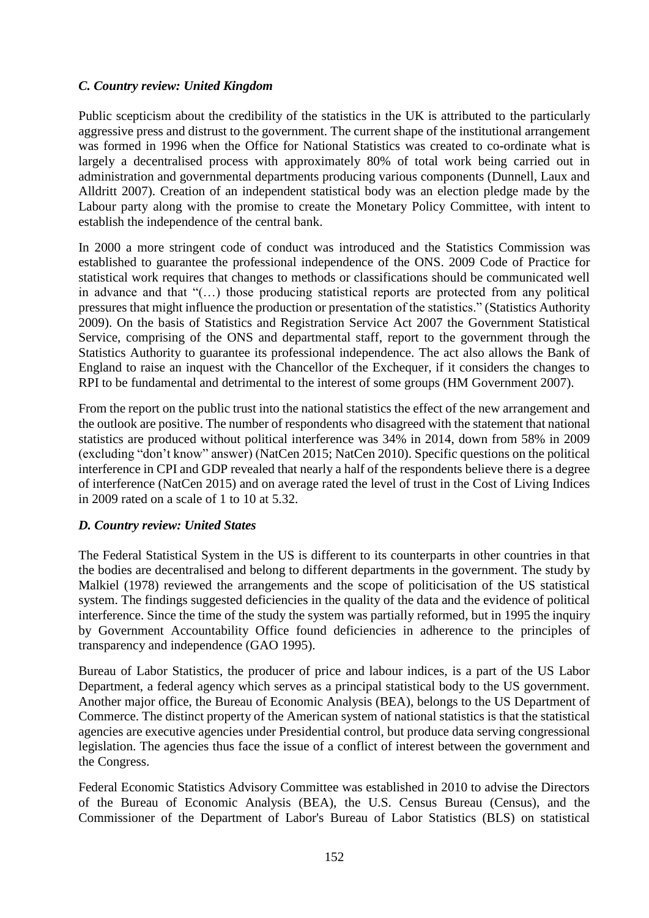### *C. Country review: United Kingdom*

Public scepticism about the credibility of the statistics in the UK is attributed to the particularly aggressive press and distrust to the government. The current shape of the institutional arrangement was formed in 1996 when the Office for National Statistics was created to co-ordinate what is largely a decentralised process with approximately 80% of total work being carried out in administration and governmental departments producing various components (Dunnell, Laux and Alldritt 2007). Creation of an independent statistical body was an election pledge made by the Labour party along with the promise to create the Monetary Policy Committee, with intent to establish the independence of the central bank.

In 2000 a more stringent code of conduct was introduced and the Statistics Commission was established to guarantee the professional independence of the ONS. 2009 Code of Practice for statistical work requires that changes to methods or classifications should be communicated well in advance and that "(…) those producing statistical reports are protected from any political pressures that might influence the production or presentation of the statistics." (Statistics Authority 2009). On the basis of Statistics and Registration Service Act 2007 the Government Statistical Service, comprising of the ONS and departmental staff, report to the government through the Statistics Authority to guarantee its professional independence. The act also allows the Bank of England to raise an inquest with the Chancellor of the Exchequer, if it considers the changes to RPI to be fundamental and detrimental to the interest of some groups (HM Government 2007).

From the report on the public trust into the national statistics the effect of the new arrangement and the outlook are positive. The number of respondents who disagreed with the statement that national statistics are produced without political interference was 34% in 2014, down from 58% in 2009 (excluding "don't know" answer) (NatCen 2015; NatCen 2010). Specific questions on the political interference in CPI and GDP revealed that nearly a half of the respondents believe there is a degree of interference (NatCen 2015) and on average rated the level of trust in the Cost of Living Indices in 2009 rated on a scale of 1 to 10 at 5.32.

#### *D. Country review: United States*

The Federal Statistical System in the US is different to its counterparts in other countries in that the bodies are decentralised and belong to different departments in the government. The study by Malkiel (1978) reviewed the arrangements and the scope of politicisation of the US statistical system. The findings suggested deficiencies in the quality of the data and the evidence of political interference. Since the time of the study the system was partially reformed, but in 1995 the inquiry by Government Accountability Office found deficiencies in adherence to the principles of transparency and independence (GAO 1995).

Bureau of Labor Statistics, the producer of price and labour indices, is a part of the US Labor Department, a federal agency which serves as a principal statistical body to the US government. Another major office, the Bureau of Economic Analysis (BEA), belongs to the US Department of Commerce. The distinct property of the American system of national statistics is that the statistical agencies are executive agencies under Presidential control, but produce data serving congressional legislation. The agencies thus face the issue of a conflict of interest between the government and the Congress.

Federal Economic Statistics Advisory Committee was established in 2010 to advise the Directors of the Bureau of Economic Analysis (BEA), the U.S. Census Bureau (Census), and the Commissioner of the Department of Labor's Bureau of Labor Statistics (BLS) on statistical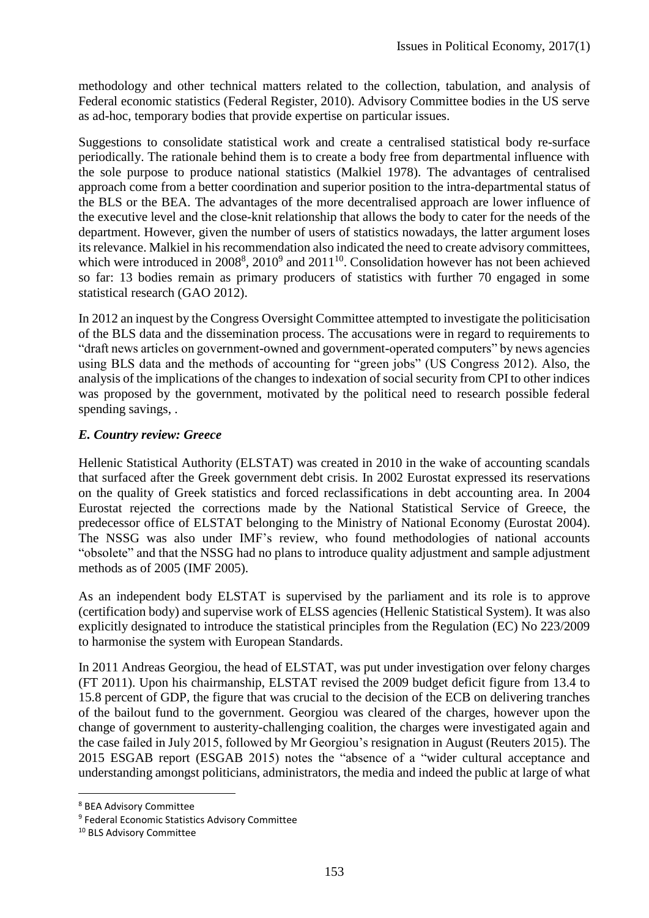methodology and other technical matters related to the collection, tabulation, and analysis of Federal economic statistics (Federal Register, 2010). Advisory Committee bodies in the US serve as ad-hoc, temporary bodies that provide expertise on particular issues.

Suggestions to consolidate statistical work and create a centralised statistical body re-surface periodically. The rationale behind them is to create a body free from departmental influence with the sole purpose to produce national statistics (Malkiel 1978). The advantages of centralised approach come from a better coordination and superior position to the intra-departmental status of the BLS or the BEA. The advantages of the more decentralised approach are lower influence of the executive level and the close-knit relationship that allows the body to cater for the needs of the department. However, given the number of users of statistics nowadays, the latter argument loses its relevance. Malkiel in his recommendation also indicated the need to create advisory committees, which were introduced in  $2008<sup>8</sup>$ ,  $2010<sup>9</sup>$  and  $2011<sup>10</sup>$ . Consolidation however has not been achieved so far: 13 bodies remain as primary producers of statistics with further 70 engaged in some statistical research (GAO 2012).

In 2012 an inquest by the Congress Oversight Committee attempted to investigate the politicisation of the BLS data and the dissemination process. The accusations were in regard to requirements to "draft news articles on government-owned and government-operated computers" by news agencies using BLS data and the methods of accounting for "green jobs" (US Congress 2012). Also, the analysis of the implications of the changes to indexation of social security from CPI to other indices was proposed by the government, motivated by the political need to research possible federal spending savings, .

## *E. Country review: Greece*

Hellenic Statistical Authority (ELSTAT) was created in 2010 in the wake of accounting scandals that surfaced after the Greek government debt crisis. In 2002 Eurostat expressed its reservations on the quality of Greek statistics and forced reclassifications in debt accounting area. In 2004 Eurostat rejected the corrections made by the National Statistical Service of Greece, the predecessor office of ELSTAT belonging to the Ministry of National Economy (Eurostat 2004). The NSSG was also under IMF's review, who found methodologies of national accounts "obsolete" and that the NSSG had no plans to introduce quality adjustment and sample adjustment methods as of 2005 (IMF 2005).

As an independent body ELSTAT is supervised by the parliament and its role is to approve (certification body) and supervise work of ELSS agencies (Hellenic Statistical System). It was also explicitly designated to introduce the statistical principles from the Regulation (EC) No 223/2009 to harmonise the system with European Standards.

In 2011 Andreas Georgiou, the head of ELSTAT, was put under investigation over felony charges (FT 2011). Upon his chairmanship, ELSTAT revised the 2009 budget deficit figure from 13.4 to 15.8 percent of GDP, the figure that was crucial to the decision of the ECB on delivering tranches of the bailout fund to the government. Georgiou was cleared of the charges, however upon the change of government to austerity-challenging coalition, the charges were investigated again and the case failed in July 2015, followed by Mr Georgiou's resignation in August (Reuters 2015). The 2015 ESGAB report (ESGAB 2015) notes the "absence of a "wider cultural acceptance and understanding amongst politicians, administrators, the media and indeed the public at large of what

**.** 

<sup>8</sup> BEA Advisory Committee

<sup>&</sup>lt;sup>9</sup> Federal Economic Statistics Advisory Committee

<sup>&</sup>lt;sup>10</sup> BLS Advisory Committee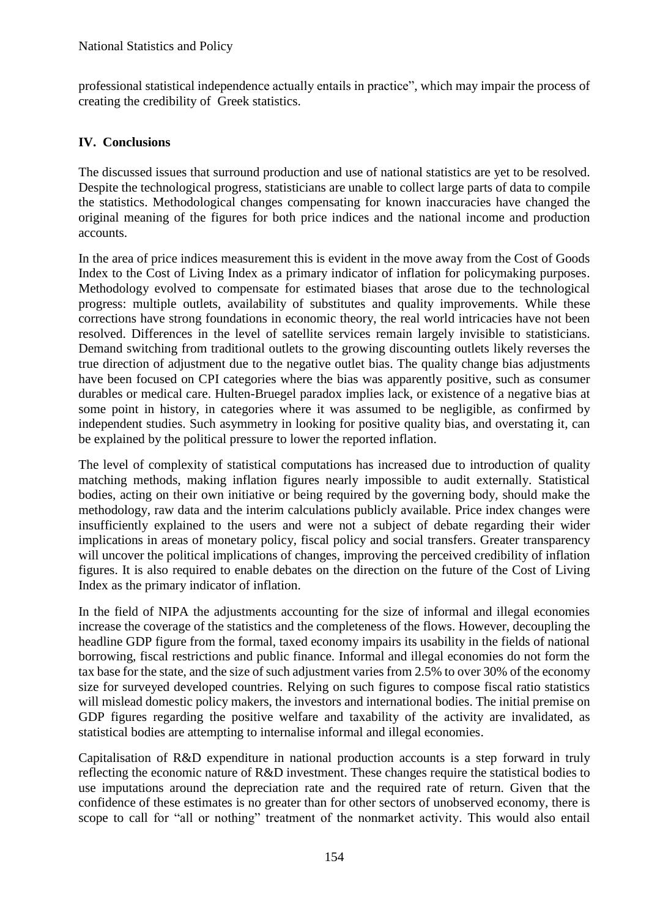professional statistical independence actually entails in practice", which may impair the process of creating the credibility of Greek statistics.

## **IV. Conclusions**

The discussed issues that surround production and use of national statistics are yet to be resolved. Despite the technological progress, statisticians are unable to collect large parts of data to compile the statistics. Methodological changes compensating for known inaccuracies have changed the original meaning of the figures for both price indices and the national income and production accounts.

In the area of price indices measurement this is evident in the move away from the Cost of Goods Index to the Cost of Living Index as a primary indicator of inflation for policymaking purposes. Methodology evolved to compensate for estimated biases that arose due to the technological progress: multiple outlets, availability of substitutes and quality improvements. While these corrections have strong foundations in economic theory, the real world intricacies have not been resolved. Differences in the level of satellite services remain largely invisible to statisticians. Demand switching from traditional outlets to the growing discounting outlets likely reverses the true direction of adjustment due to the negative outlet bias. The quality change bias adjustments have been focused on CPI categories where the bias was apparently positive, such as consumer durables or medical care. Hulten-Bruegel paradox implies lack, or existence of a negative bias at some point in history, in categories where it was assumed to be negligible, as confirmed by independent studies. Such asymmetry in looking for positive quality bias, and overstating it, can be explained by the political pressure to lower the reported inflation.

The level of complexity of statistical computations has increased due to introduction of quality matching methods, making inflation figures nearly impossible to audit externally. Statistical bodies, acting on their own initiative or being required by the governing body, should make the methodology, raw data and the interim calculations publicly available. Price index changes were insufficiently explained to the users and were not a subject of debate regarding their wider implications in areas of monetary policy, fiscal policy and social transfers. Greater transparency will uncover the political implications of changes, improving the perceived credibility of inflation figures. It is also required to enable debates on the direction on the future of the Cost of Living Index as the primary indicator of inflation.

In the field of NIPA the adjustments accounting for the size of informal and illegal economies increase the coverage of the statistics and the completeness of the flows. However, decoupling the headline GDP figure from the formal, taxed economy impairs its usability in the fields of national borrowing, fiscal restrictions and public finance. Informal and illegal economies do not form the tax base for the state, and the size of such adjustment varies from 2.5% to over 30% of the economy size for surveyed developed countries. Relying on such figures to compose fiscal ratio statistics will mislead domestic policy makers, the investors and international bodies. The initial premise on GDP figures regarding the positive welfare and taxability of the activity are invalidated, as statistical bodies are attempting to internalise informal and illegal economies.

Capitalisation of R&D expenditure in national production accounts is a step forward in truly reflecting the economic nature of R&D investment. These changes require the statistical bodies to use imputations around the depreciation rate and the required rate of return. Given that the confidence of these estimates is no greater than for other sectors of unobserved economy, there is scope to call for "all or nothing" treatment of the nonmarket activity. This would also entail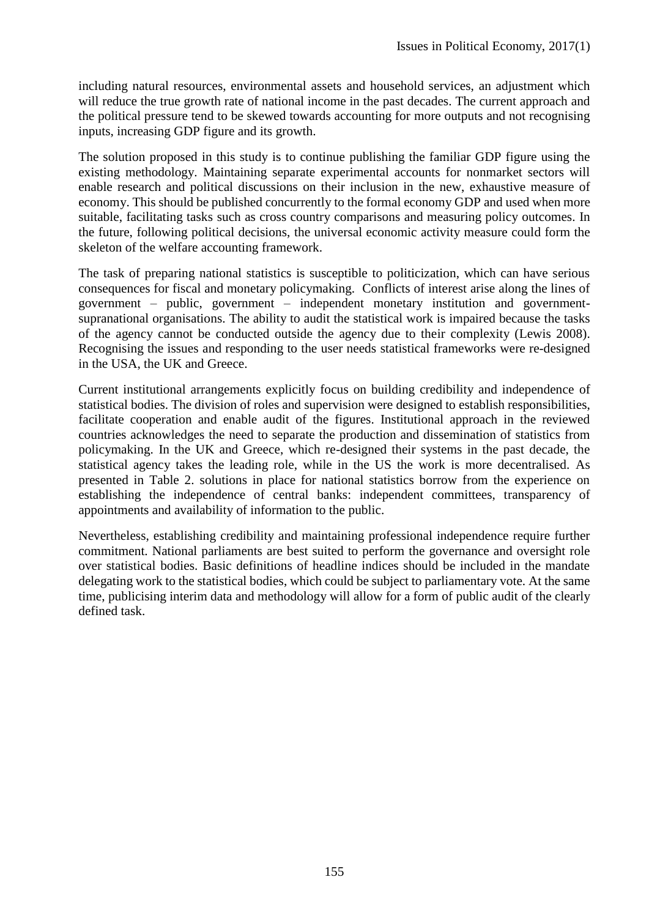including natural resources, environmental assets and household services, an adjustment which will reduce the true growth rate of national income in the past decades. The current approach and the political pressure tend to be skewed towards accounting for more outputs and not recognising inputs, increasing GDP figure and its growth.

The solution proposed in this study is to continue publishing the familiar GDP figure using the existing methodology. Maintaining separate experimental accounts for nonmarket sectors will enable research and political discussions on their inclusion in the new, exhaustive measure of economy. This should be published concurrently to the formal economy GDP and used when more suitable, facilitating tasks such as cross country comparisons and measuring policy outcomes. In the future, following political decisions, the universal economic activity measure could form the skeleton of the welfare accounting framework.

The task of preparing national statistics is susceptible to politicization, which can have serious consequences for fiscal and monetary policymaking. Conflicts of interest arise along the lines of government – public, government – independent monetary institution and governmentsupranational organisations. The ability to audit the statistical work is impaired because the tasks of the agency cannot be conducted outside the agency due to their complexity (Lewis 2008). Recognising the issues and responding to the user needs statistical frameworks were re-designed in the USA, the UK and Greece.

Current institutional arrangements explicitly focus on building credibility and independence of statistical bodies. The division of roles and supervision were designed to establish responsibilities, facilitate cooperation and enable audit of the figures. Institutional approach in the reviewed countries acknowledges the need to separate the production and dissemination of statistics from policymaking. In the UK and Greece, which re-designed their systems in the past decade, the statistical agency takes the leading role, while in the US the work is more decentralised. As presented in Table 2. solutions in place for national statistics borrow from the experience on establishing the independence of central banks: independent committees, transparency of appointments and availability of information to the public.

Nevertheless, establishing credibility and maintaining professional independence require further commitment. National parliaments are best suited to perform the governance and oversight role over statistical bodies. Basic definitions of headline indices should be included in the mandate delegating work to the statistical bodies, which could be subject to parliamentary vote. At the same time, publicising interim data and methodology will allow for a form of public audit of the clearly defined task.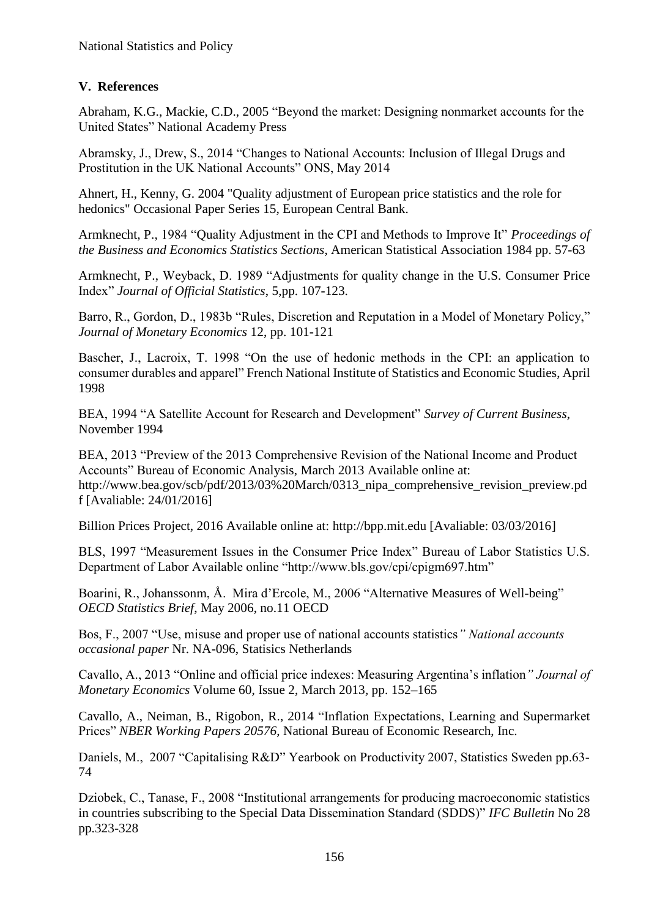# **V. References**

Abraham, K.G., Mackie, C.D., 2005 "Beyond the market: Designing nonmarket accounts for the United States" National Academy Press

Abramsky, J., Drew, S., 2014 "Changes to National Accounts: Inclusion of Illegal Drugs and Prostitution in the UK National Accounts" ONS, May 2014

Ahnert, H., Kenny, G. 2004 "Quality adjustment of European price statistics and the role for hedonics" Occasional Paper Series 15, European Central Bank.

Armknecht, P., 1984 "Quality Adjustment in the CPI and Methods to Improve It" *Proceedings of the Business and Economics Statistics Sections*, American Statistical Association 1984 pp. 57-63

Armknecht, P., Weyback, D. 1989 "Adjustments for quality change in the U.S. Consumer Price Index" *Journal of Official Statistics*, 5,pp. 107-123.

Barro, R., Gordon, D., 1983b "Rules, Discretion and Reputation in a Model of Monetary Policy," *Journal of Monetary Economics* 12, pp. 101-121

Bascher, J., Lacroix, T. 1998 "On the use of hedonic methods in the CPI: an application to consumer durables and apparel" French National Institute of Statistics and Economic Studies, April 1998

BEA, 1994 "A Satellite Account for Research and Development" *Survey of Current Business*, November 1994

BEA, 2013 "Preview of the 2013 Comprehensive Revision of the National Income and Product Accounts" Bureau of Economic Analysis, March 2013 Available online at: http://www.bea.gov/scb/pdf/2013/03%20March/0313 nipa comprehensive revision preview.pd f [Avaliable: 24/01/2016]

Billion Prices Project, 2016 Available online at: http://bpp.mit.edu [Avaliable: 03/03/2016]

BLS, 1997 "Measurement Issues in the Consumer Price Index" Bureau of Labor Statistics U.S. Department of Labor Available online "http://www.bls.gov/cpi/cpigm697.htm"

Boarini, R., Johanssonm, Å. Mira d'Ercole, M., 2006 "Alternative Measures of Well-being" *OECD Statistics Brief*, May 2006, no.11 OECD

Bos, F., 2007 "Use, misuse and proper use of national accounts statistics*" National accounts occasional paper* Nr. NA-096, Statisics Netherlands

Cavallo, A., 2013 "Online and official price indexes: Measuring Argentina's inflation*" Journal of Monetary Economics* Volume 60, Issue 2, March 2013*,* pp. 152–165

Cavallo, A., Neiman, B., Rigobon, R., 2014 "Inflation Expectations, Learning and Supermarket Prices" *NBER Working Papers 20576*, National Bureau of Economic Research, Inc.

Daniels, M., 2007 "Capitalising R&D" Yearbook on Productivity 2007, Statistics Sweden pp.63- 74

Dziobek, C., Tanase, F., 2008 "Institutional arrangements for producing macroeconomic statistics in countries subscribing to the Special Data Dissemination Standard (SDDS)" *IFC Bulletin* No 28 pp.323-328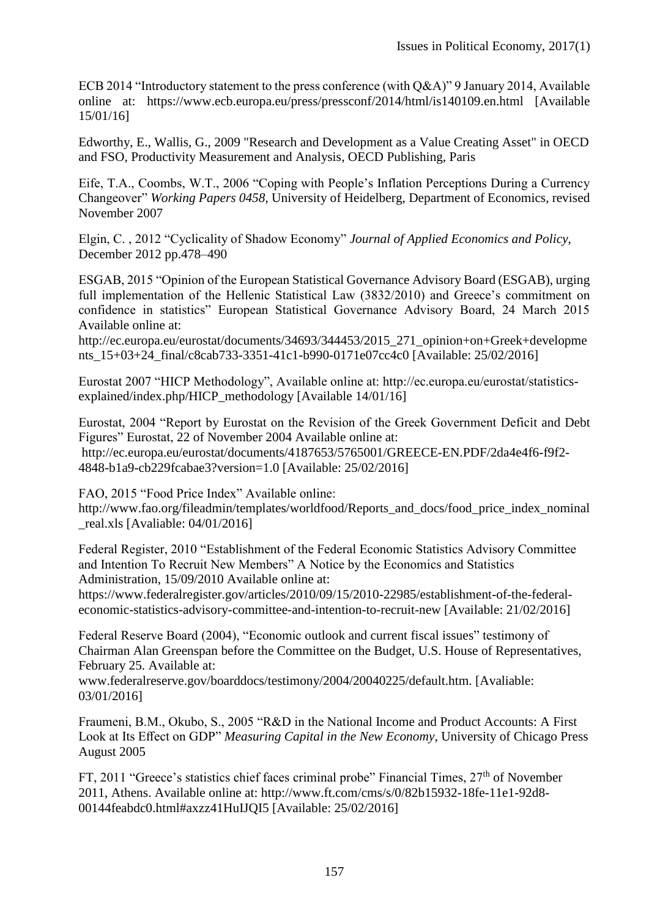ECB 2014 "Introductory statement to the press conference (with Q&A)" 9 January 2014, Available online at: https://www.ecb.europa.eu/press/pressconf/2014/html/is140109.en.html [Available 15/01/16]

Edworthy, E., Wallis, G., 2009 "Research and Development as a Value Creating Asset" in OECD and FSO, Productivity Measurement and Analysis, OECD Publishing, Paris

Eife, T.A., Coombs, W.T., 2006 "Coping with People's Inflation Perceptions During a Currency Changeover" *Working Papers 0458*, University of Heidelberg, Department of Economics, revised November 2007

Elgin, C. , 2012 "Cyclicality of Shadow Economy" *Journal of Applied Economics and Policy*, December 2012 pp.478–490

ESGAB, 2015 "Opinion of the European Statistical Governance Advisory Board (ESGAB), urging full implementation of the Hellenic Statistical Law (3832/2010) and Greece's commitment on confidence in statistics" European Statistical Governance Advisory Board, 24 March 2015 Available online at:

http://ec.europa.eu/eurostat/documents/34693/344453/2015\_271\_opinion+on+Greek+developme nts 15+03+24 final/c8cab733-3351-41c1-b990-0171e07cc4c0 [Available: 25/02/2016]

Eurostat 2007 "HICP Methodology", Available online at: http://ec.europa.eu/eurostat/statisticsexplained/index.php/HICP\_methodology [Available 14/01/16]

Eurostat, 2004 "Report by Eurostat on the Revision of the Greek Government Deficit and Debt Figures" Eurostat, 22 of November 2004 Available online at: http://ec.europa.eu/eurostat/documents/4187653/5765001/GREECE-EN.PDF/2da4e4f6-f9f2- 4848-b1a9-cb229fcabae3?version=1.0 [Available: 25/02/2016]

FAO, 2015 "Food Price Index" Available online:

http://www.fao.org/fileadmin/templates/worldfood/Reports\_and\_docs/food\_price\_index\_nominal \_real.xls [Avaliable: 04/01/2016]

Federal Register, 2010 "Establishment of the Federal Economic Statistics Advisory Committee and Intention To Recruit New Members" A Notice by the Economics and Statistics Administration, 15/09/2010 Available online at:

https://www.federalregister.gov/articles/2010/09/15/2010-22985/establishment-of-the-federaleconomic-statistics-advisory-committee-and-intention-to-recruit-new [Available: 21/02/2016]

Federal Reserve Board (2004), "Economic outlook and current fiscal issues" testimony of Chairman Alan Greenspan before the Committee on the Budget, U.S. House of Representatives, February 25. Available at:

www.federalreserve.gov/boarddocs/testimony/2004/20040225/default.htm. [Avaliable: 03/01/2016]

Fraumeni, B.M., Okubo, S., 2005 "R&D in the National Income and Product Accounts: A First Look at Its Effect on GDP" *Measuring Capital in the New Economy*, University of Chicago Press August 2005

FT, 2011 "Greece's statistics chief faces criminal probe" Financial Times,  $27<sup>th</sup>$  of November 2011, Athens. Available online at: http://www.ft.com/cms/s/0/82b15932-18fe-11e1-92d8- 00144feabdc0.html#axzz41HuIJQI5 [Available: 25/02/2016]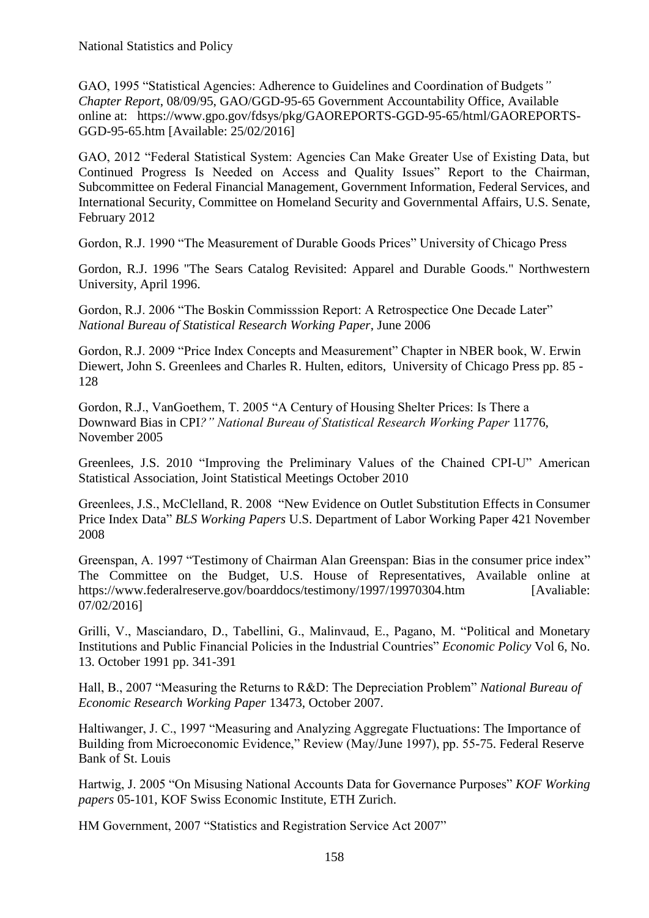GAO, 1995 "Statistical Agencies: Adherence to Guidelines and Coordination of Budgets*" Chapter Report*, 08/09/95, GAO/GGD-95-65 Government Accountability Office, Available online at: https://www.gpo.gov/fdsys/pkg/GAOREPORTS-GGD-95-65/html/GAOREPORTS-GGD-95-65.htm [Available: 25/02/2016]

GAO, 2012 "Federal Statistical System: Agencies Can Make Greater Use of Existing Data, but Continued Progress Is Needed on Access and Quality Issues" Report to the Chairman, Subcommittee on Federal Financial Management, Government Information, Federal Services, and International Security, Committee on Homeland Security and Governmental Affairs, U.S. Senate, February 2012

Gordon, R.J. 1990 "The Measurement of Durable Goods Prices" University of Chicago Press

Gordon, R.J. 1996 "The Sears Catalog Revisited: Apparel and Durable Goods." Northwestern University, April 1996.

Gordon, R.J. 2006 "The Boskin Commisssion Report: A Retrospectice One Decade Later" *National Bureau of Statistical Research Working Paper*, June 2006

Gordon, R.J. 2009 "Price Index Concepts and Measurement" Chapter in NBER book, W. Erwin Diewert, John S. Greenlees and Charles R. Hulten, editors, University of Chicago Press pp. 85 - 128

Gordon, R.J., VanGoethem, T. 2005 "A Century of Housing Shelter Prices: Is There a Downward Bias in CPI*?" National Bureau of Statistical Research Working Paper* 11776, November 2005

Greenlees, J.S. 2010 "Improving the Preliminary Values of the Chained CPI-U" American Statistical Association, Joint Statistical Meetings October 2010

Greenlees, J.S., McClelland, R. 2008 "New Evidence on Outlet Substitution Effects in Consumer Price Index Data" *BLS Working Papers* U.S. Department of Labor Working Paper 421 November 2008

Greenspan, A. 1997 "Testimony of Chairman Alan Greenspan: Bias in the consumer price index" The Committee on the Budget, U.S. House of Representatives, Available online at https://www.federalreserve.gov/boarddocs/testimony/1997/19970304.htm [Avaliable: 07/02/2016]

Grilli, V., Masciandaro, D., Tabellini, G., Malinvaud, E., Pagano, M. "Political and Monetary Institutions and Public Financial Policies in the Industrial Countries" *Economic Policy* Vol 6, No. 13. October 1991 pp. 341-391

Hall, B., 2007 "Measuring the Returns to R&D: The Depreciation Problem" *National Bureau of Economic Research Working Paper* 13473, October 2007.

Haltiwanger, J. C., 1997 "Measuring and Analyzing Aggregate Fluctuations: The Importance of Building from Microeconomic Evidence," Review (May/June 1997), pp. 55-75. Federal Reserve Bank of St. Louis

Hartwig, J. 2005 "On Misusing National Accounts Data for Governance Purposes" *KOF Working papers* 05-101, KOF Swiss Economic Institute, ETH Zurich.

HM Government, 2007 "Statistics and Registration Service Act 2007"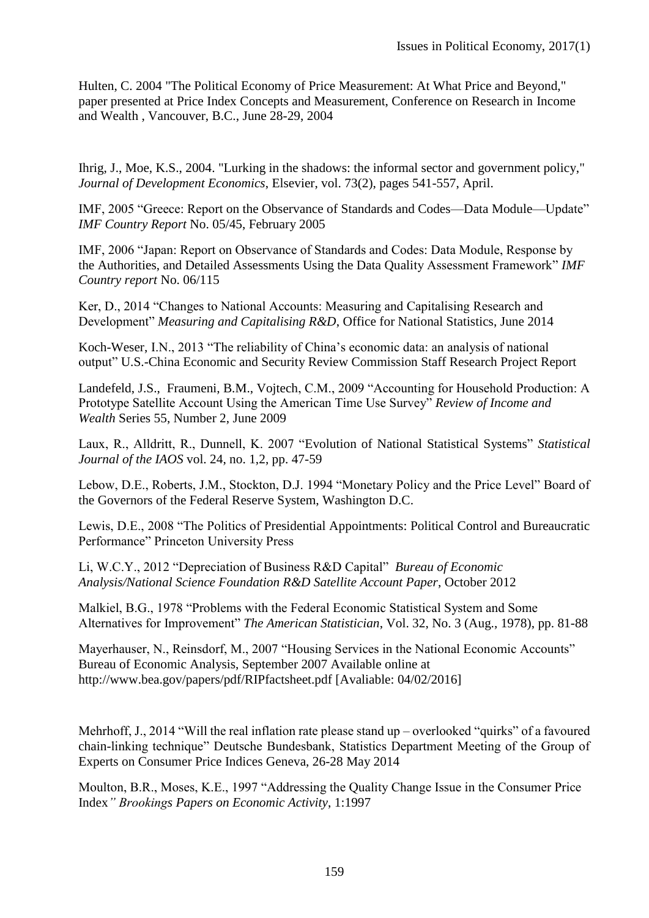Hulten, C. 2004 "The Political Economy of Price Measurement: At What Price and Beyond," paper presented at Price Index Concepts and Measurement, Conference on Research in Income and Wealth , Vancouver, B.C., June 28-29, 2004

Ihrig, J., Moe, K.S., 2004. "Lurking in the shadows: the informal sector and government policy," *Journal of Development Economics*, Elsevier, vol. 73(2), pages 541-557, April.

IMF, 2005 "Greece: Report on the Observance of Standards and Codes—Data Module—Update" *IMF Country Report* No. 05/45, February 2005

IMF, 2006 "Japan: Report on Observance of Standards and Codes: Data Module, Response by the Authorities, and Detailed Assessments Using the Data Quality Assessment Framework" *IMF Country report* No. 06/115

Ker, D., 2014 "Changes to National Accounts: Measuring and Capitalising Research and Development" *Measuring and Capitalising R&D*, Office for National Statistics, June 2014

Koch-Weser, I.N., 2013 "The reliability of China's economic data: an analysis of national output" U.S.-China Economic and Security Review Commission Staff Research Project Report

Landefeld, J.S., Fraumeni, B.M., Vojtech, C.M., 2009 "Accounting for Household Production: A Prototype Satellite Account Using the American Time Use Survey" *Review of Income and Wealth* Series 55, Number 2, June 2009

Laux, R., Alldritt, R., Dunnell, K. 2007 "Evolution of National Statistical Systems" *Statistical Journal of the IAOS* vol. 24, no. 1,2, pp. 47-59

Lebow, D.E., Roberts, J.M., Stockton, D.J. 1994 "Monetary Policy and the Price Level" Board of the Governors of the Federal Reserve System, Washington D.C.

Lewis, D.E., 2008 "The Politics of Presidential Appointments: Political Control and Bureaucratic Performance" Princeton University Press

Li, W.C.Y., 2012 "Depreciation of Business R&D Capital" *Bureau of Economic Analysis/National Science Foundation R&D Satellite Account Paper*, October 2012

Malkiel, B.G., 1978 "Problems with the Federal Economic Statistical System and Some Alternatives for Improvement" *The American Statistician*, Vol. 32, No. 3 (Aug., 1978), pp. 81-88

Mayerhauser, N., Reinsdorf, M., 2007 "Housing Services in the National Economic Accounts" Bureau of Economic Analysis, September 2007 Available online at http://www.bea.gov/papers/pdf/RIPfactsheet.pdf [Avaliable: 04/02/2016]

Mehrhoff, J., 2014 "Will the real inflation rate please stand up – overlooked "quirks" of a favoured chain-linking technique" Deutsche Bundesbank, Statistics Department Meeting of the Group of Experts on Consumer Price Indices Geneva, 26-28 May 2014

Moulton, B.R., Moses, K.E., 1997 "Addressing the Quality Change Issue in the Consumer Price Index*" Brookings Papers on Economic Activity*, 1:1997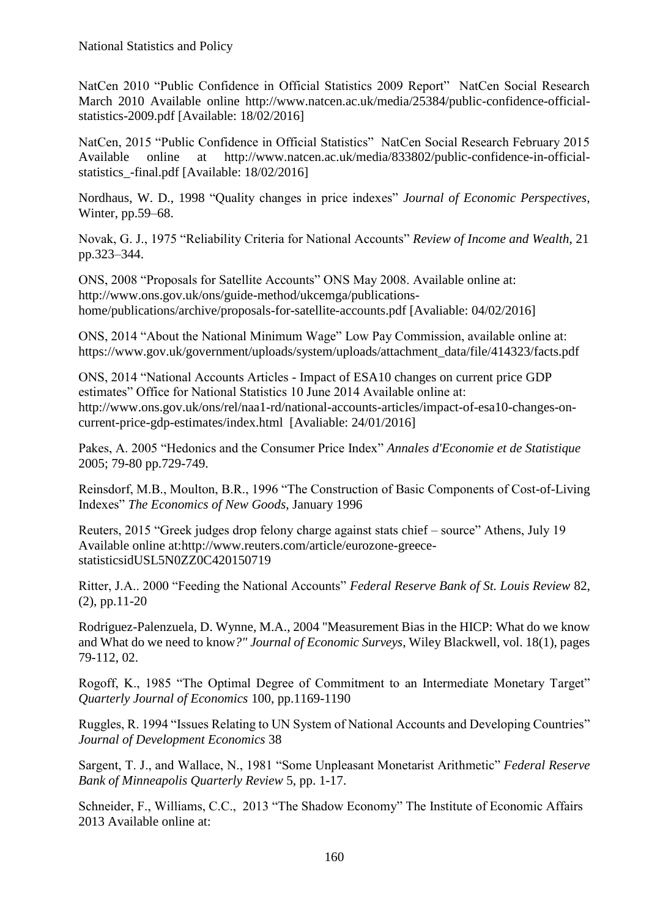NatCen 2010 "Public Confidence in Official Statistics 2009 Report" NatCen Social Research March 2010 Available online http://www.natcen.ac.uk/media/25384/public-confidence-officialstatistics-2009.pdf [Available: 18/02/2016]

NatCen, 2015 "Public Confidence in Official Statistics" NatCen Social Research February 2015 Available online at http://www.natcen.ac.uk/media/833802/public-confidence-in-officialstatistics\_-final.pdf [Available: 18/02/2016]

Nordhaus, W. D., 1998 "Quality changes in price indexes" *Journal of Economic Perspectives*, Winter, pp.59–68.

Novak, G. J., 1975 "Reliability Criteria for National Accounts" *Review of Income and Wealth*, 21 pp.323–344.

ONS, 2008 "Proposals for Satellite Accounts" ONS May 2008. Available online at: http://www.ons.gov.uk/ons/guide-method/ukcemga/publicationshome/publications/archive/proposals-for-satellite-accounts.pdf [Avaliable: 04/02/2016]

ONS, 2014 "About the National Minimum Wage" Low Pay Commission, available online at: https://www.gov.uk/government/uploads/system/uploads/attachment\_data/file/414323/facts.pdf

ONS, 2014 "National Accounts Articles - Impact of ESA10 changes on current price GDP estimates" Office for National Statistics 10 June 2014 Available online at: http://www.ons.gov.uk/ons/rel/naa1-rd/national-accounts-articles/impact-of-esa10-changes-oncurrent-price-gdp-estimates/index.html [Avaliable: 24/01/2016]

Pakes, A. 2005 "Hedonics and the Consumer Price Index" *Annales d'Economie et de Statistique* 2005; 79-80 pp.729-749.

Reinsdorf, M.B., Moulton, B.R., 1996 "The Construction of Basic Components of Cost-of-Living Indexes" *The Economics of New Goods*, January 1996

Reuters, 2015 "Greek judges drop felony charge against stats chief – source" Athens, July 19 Available online at:http://www.reuters.com/article/eurozone-greecestatisticsidUSL5N0ZZ0C420150719

Ritter, J.A.. 2000 "Feeding the National Accounts" *Federal Reserve Bank of St. Louis Review* 82, (2), pp.11-20

Rodriguez-Palenzuela, D. Wynne, M.A., 2004 "Measurement Bias in the HICP: What do we know and What do we need to know*?" Journal of Economic Surveys*, Wiley Blackwell, vol. 18(1), pages 79-112, 02.

Rogoff, K., 1985 "The Optimal Degree of Commitment to an Intermediate Monetary Target" *Quarterly Journal of Economics* 100, pp.1169-1190

Ruggles, R. 1994 "Issues Relating to UN System of National Accounts and Developing Countries" *Journal of Development Economics* 38

Sargent, T. J., and Wallace, N., 1981 "Some Unpleasant Monetarist Arithmetic" *Federal Reserve Bank of Minneapolis Quarterly Review* 5, pp. 1-17.

Schneider, F., Williams, C.C., 2013 "The Shadow Economy" The Institute of Economic Affairs 2013 Available online at: